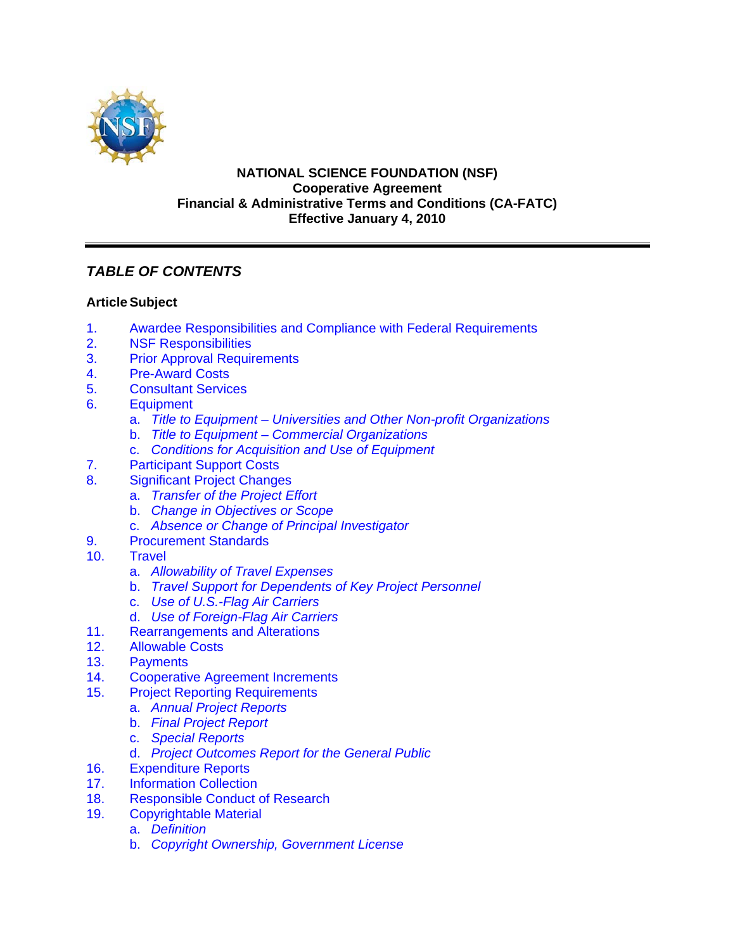

## **NATIONAL SCIENCE FOUNDATION (NSF) Cooperative Agreement Financial & Administrative Terms and Conditions (CA-FATC) Effective January 4, 2010**

# *TABLE OF CONTENTS*

# **Article Subject**

- 1. [Awardee Responsibilities and Compliance with Federal Requirements](#page-3-0)
- 2. [NSF Responsibilities](#page-4-0)
- 3. [Prior Approval Requirements](#page-4-0)
- 4. [Pre-Award Costs](#page-5-0)
- 5. [Consultant Services](#page-5-0)<br>6. Equipment
- **[Equipment](#page-5-0)** 
	- a. *[Title to Equipment Universities and Other Non-profit Organizations](#page-5-0)*
	- b. *[Title to Equipment Commercial Organizations](#page-6-0)*
	- c. *[Conditions for Acquisition and Use of Equipment](#page-6-0)*
- 7. [Participant Support Costs](#page-7-0)
- 8. [Significant Project Changes](#page-7-0)
	- a. *[Transfer of the Project Effort](#page-8-0)*
	- b. *[Change in Objectives or Scope](#page-8-0)*
	- c. *[Absence or Change of Principal Investigator](#page-8-0)*
- 9. [Procurement Standards](#page-9-0)
- 10. [Travel](#page-9-0)
	- a. *[Allowability of Travel Expenses](#page-9-0)*
	- b. *[Travel Support for Dependents of Key Project Personnel](#page-9-0)*
	- c. *[Use of U.S.-Flag Air Carriers](#page-9-0)*
	- d. *[Use of Foreign-Flag Air Carriers](#page-10-0)*
- 11. [Rearrangements and Alterations](#page-11-0)
- 12. [Allowable Costs](#page-11-0)
- 13. [Payments](#page-12-0)
- 14. [Cooperative Agreement Increments](#page-13-0)
- 15. [Project Reporting Requirements](#page-13-0)
	- a. *[Annual Project Reports](#page-13-0)*
		- b. *[Final Project Report](#page-13-0)*
		- c. *[Special Reports](#page-14-0)*
		- d. *[Project Outcomes Report for the General Public](#page-14-0)*
- 16. [Expenditure Reports](#page-14-0)
- 17. [Information Collection](#page-14-0)
- [18. Responsible Conduct of Research](#page-15-0)
- 19. [Copyrightable Material](#page-15-0)
	- a. *[Definition](#page-15-0)*
	- b. *[Copyright Ownership, Government License](#page-15-0)*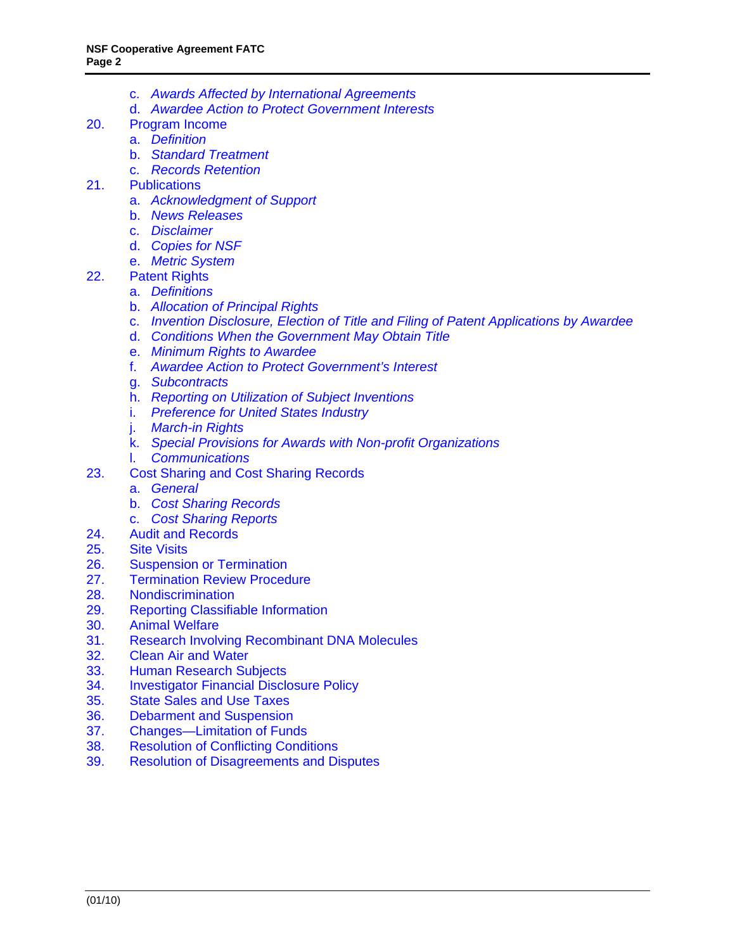- c. *[Awards Affected by International Agreements](#page-16-0)*
- d. *[Awardee Action to Protect Government Interests](#page-16-0)*
- 20. [Program Income](#page-16-0)
	- a. *[Definition](#page-16-0)*
	- b. *[Standard Treatment](#page-16-0)*
	- c. *[Records Retention](#page-16-0)*
- 21. [Publications](#page-16-0)
	- a. *[Acknowledgment of Support](#page-16-0)*
	- b. *[News Releases](#page-17-0)*
	- c. *[Disclaimer](#page-17-0)*
	- d. *[Copies for NSF](#page-17-0)*
	- e. *[Metric System](#page-17-0)*
- 22. [Patent Rights](#page-17-0)
	- a. *[Definitions](#page-17-0)*
	- b. *[Allocation of Principal Rights](#page-18-0)*
	- c. *[Invention Disclosure, Election of Title and Filing of Patent Applications by Awardee](#page-18-0)*
	- d. *[Conditions When the Government May Obtain Title](#page-19-0)*
	- e. *[Minimum Rights to Awardee](#page-19-0)*
	- f. *[Awardee Action to Protect Government's Interest](#page-20-0)*
	- g. *[Subcontracts](#page-21-0)*
	- h. *[Reporting on Utilization of Subject Inventions](#page-21-0)*
	- i. *[Preference for United States Industry](#page-21-0)*
	- j. *[March-in Rights](#page-22-0)*
	- k. *[Special Provisions for Awards with Non-profit Organizations](#page-22-0)*
	- l. *[Communications](#page-23-0)*
- 23. [Cost Sharing and Cost Sharing Records](#page-23-0)
	- a. *[General](#page-23-0)*
	- b. *[Cost Sharing Records](#page-24-0)*
	- c. *[Cost Sharing Reports](#page-24-0)*
- 24. [Audit and Records](#page-24-0)
- 25. [Site Visits](#page-25-0)
- 26. [Suspension or Termination](#page-25-0)
- 27. [Termination Review Procedure](#page-26-0)<br>28. Nondiscrimination
- **[Nondiscrimination](#page-26-0)**
- 29. [Reporting Classifiable Information](#page-27-0)
- 30. [Animal Welfare](#page-27-0)
- 31. [Research Involving Recombinant DNA Molecules](#page-28-0)
- 32. [Clean Air and Water](#page-28-0)
- 33. [Human Research Subjects](#page-28-0)
- 34. [Investigator Financial Disclosure Policy](#page-28-0)
- 35. [State Sales and Use Taxes](#page-28-0)
- 36. [Debarment and Suspension](#page-29-0)
- 37. [Changes—Limitation of Funds](#page-29-0)
- 38. [Resolution of Conflicting Conditions](#page-29-0)
- 39. [Resolution of Disagreements and Disputes](#page-29-0)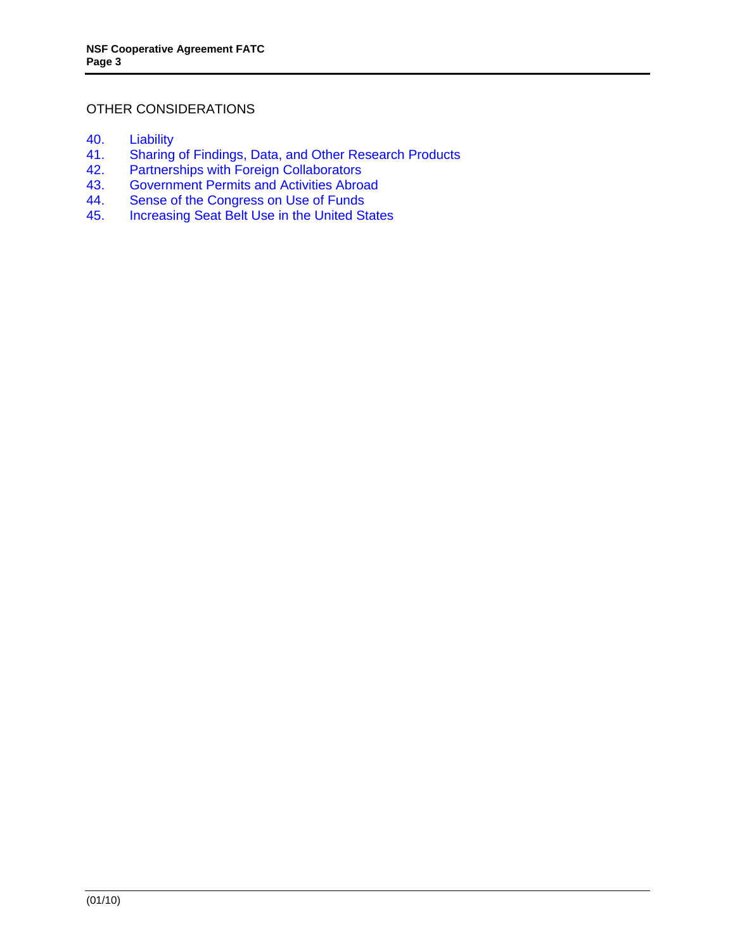## OTHER CONSIDERATIONS

- 40. [Liability](#page-29-0)
- 41. [Sharing of Findings, Data, and Other Research Products](#page-30-0)
- 42. Partnerships with [Foreign Collaborators](#page-30-0)<br>43. Government Permits and Activities Abroa
- 43. [Government Permits and Activities Abroad](#page-30-0)
- 44. [Sense of the Congress on Use of Funds](#page-30-0)
- 45. [Increasing Seat Belt Use in the United States](#page-31-0)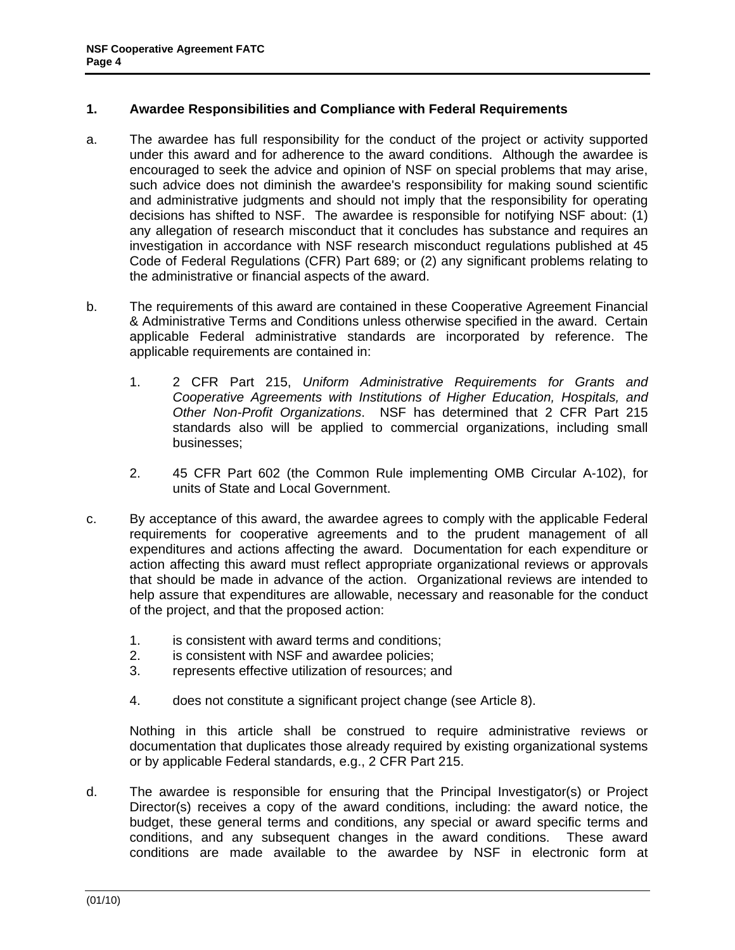## <span id="page-3-0"></span>**1. Awardee Responsibilities and Compliance with Federal Requirements**

- a. The awardee has full responsibility for the conduct of the project or activity supported under this award and for adherence to the award conditions. Although the awardee is encouraged to seek the advice and opinion of NSF on special problems that may arise, such advice does not diminish the awardee's responsibility for making sound scientific and administrative judgments and should not imply that the responsibility for operating decisions has shifted to NSF. The awardee is responsible for notifying NSF about: (1) any allegation of research misconduct that it concludes has substance and requires an investigation in accordance with NSF research misconduct regulations published at 45 Code of Federal Regulations (CFR) Part 689; or (2) any significant problems relating to the administrative or financial aspects of the award.
- b. The requirements of this award are contained in these Cooperative Agreement Financial & Administrative Terms and Conditions unless otherwise specified in the award. Certain applicable Federal administrative standards are incorporated by reference. The applicable requirements are contained in:
	- 1. 2 CFR Part 215, *Uniform Administrative Requirements for Grants and Cooperative Agreements with Institutions of Higher Education, Hospitals, and Other Non-Profit Organizations*. NSF has determined that 2 CFR Part 215 standards also will be applied to commercial organizations, including small businesses;
	- 2. 45 CFR Part 602 (the Common Rule implementing OMB Circular A-102), for units of State and Local Government.
- c. By acceptance of this award, the awardee agrees to comply with the applicable Federal requirements for cooperative agreements and to the prudent management of all expenditures and actions affecting the award. Documentation for each expenditure or action affecting this award must reflect appropriate organizational reviews or approvals that should be made in advance of the action. Organizational reviews are intended to help assure that expenditures are allowable, necessary and reasonable for the conduct of the project, and that the proposed action:
	- 1. is consistent with award terms and conditions;
	- 2. is consistent with NSF and awardee policies;
	- 3. represents effective utilization of resources; and
	- 4. does not constitute a significant project change (see Article 8).

 Nothing in this article shall be construed to require administrative reviews or documentation that duplicates those already required by existing organizational systems or by applicable Federal standards, e.g., 2 CFR Part 215.

d. The awardee is responsible for ensuring that the Principal Investigator(s) or Project Director(s) receives a copy of the award conditions, including: the award notice, the budget, these general terms and conditions, any special or award specific terms and conditions, and any subsequent changes in the award conditions. These award conditions are made available to the awardee by NSF in electronic form at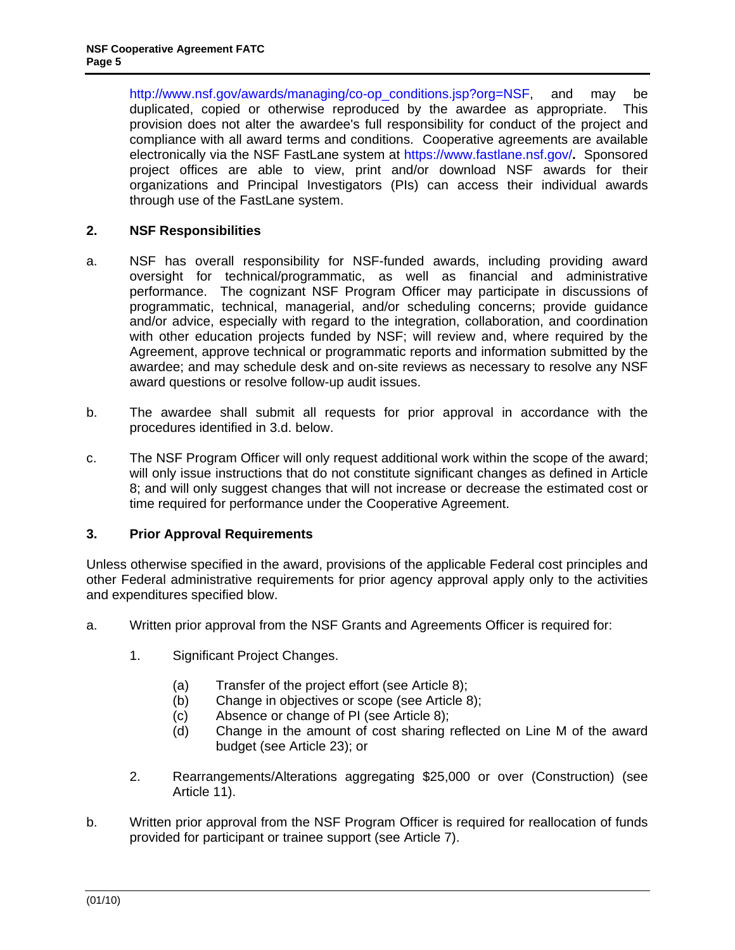<span id="page-4-0"></span>http://www.nsf.gov/awards/managing/co-op\_conditions.jsp?org=NSF, and may be duplicated, copied or otherwise reproduced by the awardee as appropriate. This provision does not alter the awardee's full responsibility for conduct of the project and compliance with all award terms and conditions. Cooperative agreements are available electronically via the NSF FastLane system at https://www.fastlane.nsf.gov/**.** Sponsored project offices are able to view, print and/or download NSF awards for their organizations and Principal Investigators (PIs) can access their individual awards through use of the FastLane system.

## **2. NSF Responsibilities**

- a. NSF has overall responsibility for NSF-funded awards, including providing award oversight for technical/programmatic, as well as financial and administrative performance. The cognizant NSF Program Officer may participate in discussions of programmatic, technical, managerial, and/or scheduling concerns; provide guidance and/or advice, especially with regard to the integration, collaboration, and coordination with other education projects funded by NSF; will review and, where required by the Agreement, approve technical or programmatic reports and information submitted by the awardee; and may schedule desk and on-site reviews as necessary to resolve any NSF award questions or resolve follow-up audit issues.
- b. The awardee shall submit all requests for prior approval in accordance with the procedures identified in 3.d. below.
- c. The NSF Program Officer will only request additional work within the scope of the award; will only issue instructions that do not constitute significant changes as defined in Article 8; and will only suggest changes that will not increase or decrease the estimated cost or time required for performance under the Cooperative Agreement.

### **3. Prior Approval Requirements**

Unless otherwise specified in the award, provisions of the applicable Federal cost principles and other Federal administrative requirements for prior agency approval apply only to the activities and expenditures specified blow.

- a. Written prior approval from the NSF Grants and Agreements Officer is required for:
	- 1. Significant Project Changes.
		- (a) Transfer of the project effort (see Article 8);
		- (b) Change in objectives or scope (see Article 8);
		- (c) Absence or change of PI (see Article 8);
		- (d) Change in the amount of cost sharing reflected on Line M of the award budget (see Article 23); or
	- 2. Rearrangements/Alterations aggregating \$25,000 or over (Construction) (see Article 11).
- b. Written prior approval from the NSF Program Officer is required for reallocation of funds provided for participant or trainee support (see Article 7).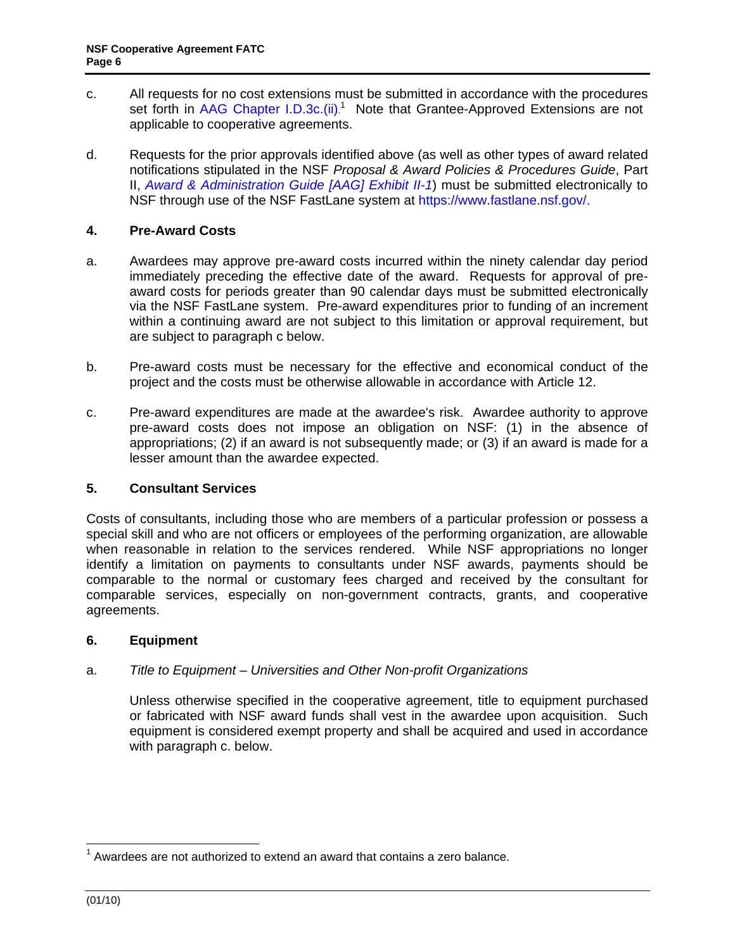- <span id="page-5-0"></span>c. All requests for no cost extensions must be submitted in accordance with the procedures set forth in [AAG Chapter I.D.3c.\(ii\)](http://www.nsf.gov/pubs/policydocs/pappguide/nsf10_1/aag_1.jsp#ID3c).<sup>1</sup> Note that Grantee-Approved Extensions are not applicable to cooperative agreements.
- d. Requests for the prior approvals identified above (as well as other types of award related notifications stipulated in the NSF *Proposal & Award Policies & Procedures Guide*, Part II, *[Award & Administration Guide \[AAG\] Exhibit II-1](http://www.nsf.gov/pubs/policydocs/pappguide/nsf10_1/aag_2ex1.pdf)*) must be submitted electronically to NSF through use of the NSF FastLane system at https://www.fastlane.nsf.gov/.

## **4. Pre-Award Costs**

- a. Awardees may approve pre-award costs incurred within the ninety calendar day period immediately preceding the effective date of the award. Requests for approval of preaward costs for periods greater than 90 calendar days must be submitted electronically via the NSF FastLane system. Pre-award expenditures prior to funding of an increment within a continuing award are not subject to this limitation or approval requirement, but are subject to paragraph c below.
- b. Pre-award costs must be necessary for the effective and economical conduct of the project and the costs must be otherwise allowable in accordance with Article 12.
- c. Pre-award expenditures are made at the awardee's risk. Awardee authority to approve pre-award costs does not impose an obligation on NSF: (1) in the absence of appropriations; (2) if an award is not subsequently made; or (3) if an award is made for a lesser amount than the awardee expected.

## **5. Consultant Services**

Costs of consultants, including those who are members of a particular profession or possess a special skill and who are not officers or employees of the performing organization, are allowable when reasonable in relation to the services rendered. While NSF appropriations no longer identify a limitation on payments to consultants under NSF awards, payments should be comparable to the normal or customary fees charged and received by the consultant for comparable services, especially on non-government contracts, grants, and cooperative agreements.

### **6. Equipment**

## a. *Title to Equipment – Universities and Other Non-profit Organizations*

 Unless otherwise specified in the cooperative agreement, title to equipment purchased or fabricated with NSF award funds shall vest in the awardee upon acquisition. Such equipment is considered exempt property and shall be acquired and used in accordance with paragraph c. below.

-

 $1$  Awardees are not authorized to extend an award that contains a zero balance.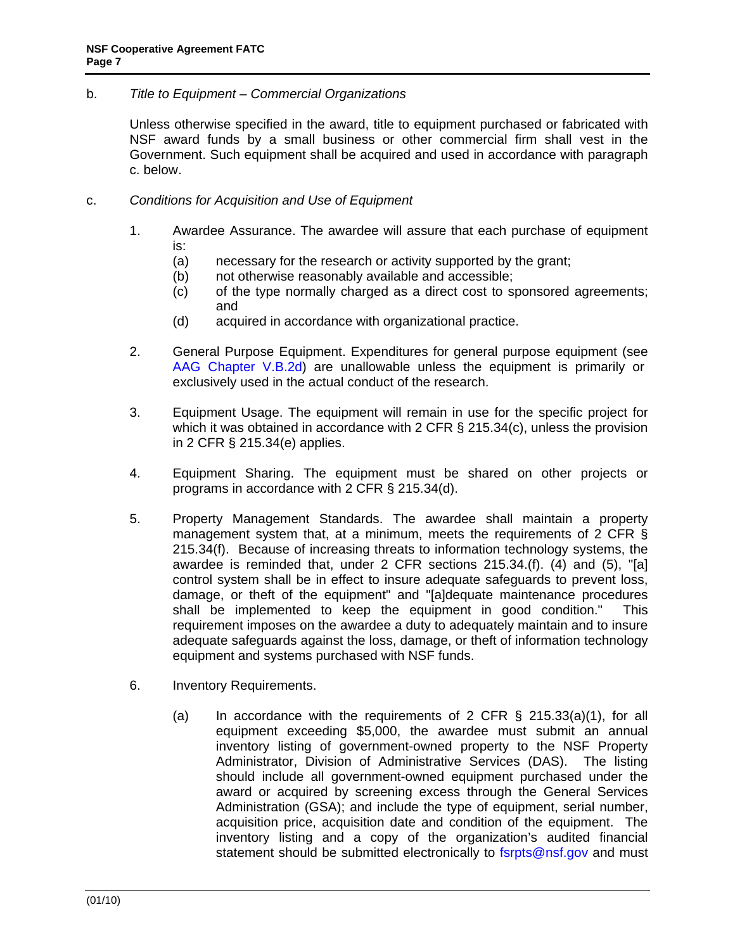## <span id="page-6-0"></span>b. *Title to Equipment – Commercial Organizations*

 Unless otherwise specified in the award, title to equipment purchased or fabricated with NSF award funds by a small business or other commercial firm shall vest in the Government. Such equipment shall be acquired and used in accordance with paragraph c. below.

- c. *Conditions for Acquisition and Use of Equipment*
	- 1. Awardee Assurance. The awardee will assure that each purchase of equipment is:
		- (a) necessary for the research or activity supported by the grant;
		- (b) not otherwise reasonably available and accessible;
		- (c) of the type normally charged as a direct cost to sponsored agreements; and
		- (d) acquired in accordance with organizational practice.
	- 2. General Purpose Equipment. Expenditures for general purpose equipment (see [AAG Chapter V.B.2d\)](http://www.nsf.gov/pubs/policydocs/pappguide/nsf10_1/aag_5.jsp#VB2d) are unallowable unless the equipment is primarily or exclusively used in the actual conduct of the research.
	- 3. Equipment Usage. The equipment will remain in use for the specific project for which it was obtained in accordance with 2 CFR § 215.34(c), unless the provision in 2 CFR § 215.34(e) applies.
	- 4. Equipment Sharing. The equipment must be shared on other projects or programs in accordance with 2 CFR § 215.34(d).
	- 5. Property Management Standards. The awardee shall maintain a property management system that, at a minimum, meets the requirements of 2 CFR § 215.34(f). Because of increasing threats to information technology systems, the awardee is reminded that, under 2 CFR sections 215.34.(f). (4) and (5), "[a] control system shall be in effect to insure adequate safeguards to prevent loss, damage, or theft of the equipment" and "[a]dequate maintenance procedures shall be implemented to keep the equipment in good condition." This requirement imposes on the awardee a duty to adequately maintain and to insure adequate safeguards against the loss, damage, or theft of information technology equipment and systems purchased with NSF funds.
	- 6. Inventory Requirements.
		- (a) In accordance with the requirements of 2 CFR  $\S$  215.33(a)(1), for all equipment exceeding \$5,000, the awardee must submit an annual inventory listing of government-owned property to the NSF Property Administrator, Division of Administrative Services (DAS). The listing should include all government-owned equipment purchased under the award or acquired by screening excess through the General Services Administration (GSA); and include the type of equipment, serial number, acquisition price, acquisition date and condition of the equipment. The inventory listing and a copy of the organization's audited financial statement should be submitted electronically to fsrpts@nsf.gov and must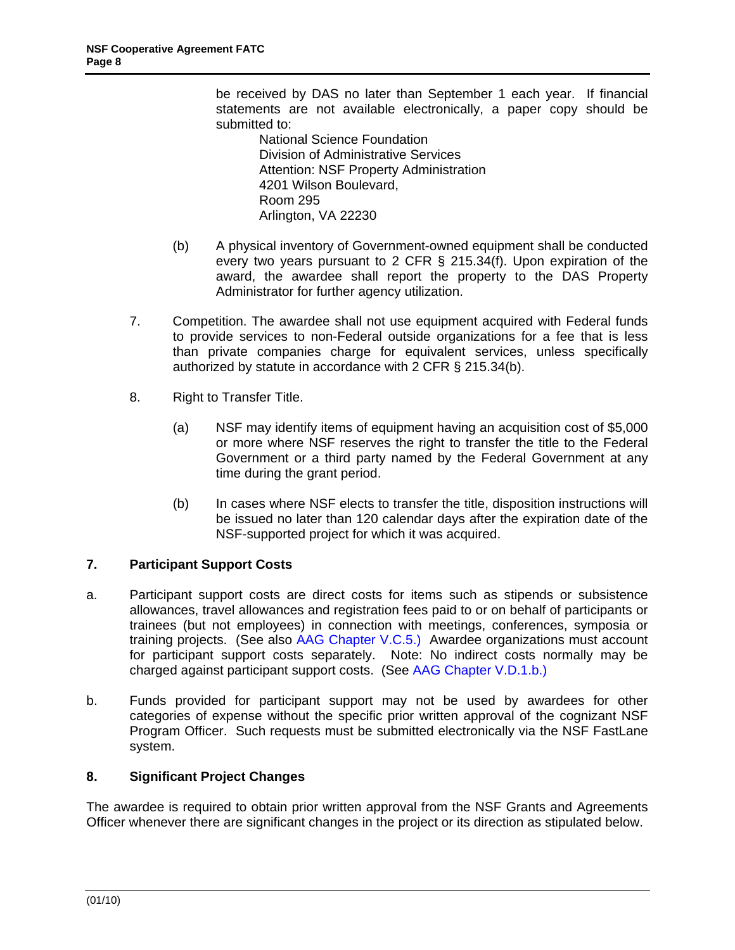<span id="page-7-0"></span>be received by DAS no later than September 1 each year. If financial statements are not available electronically, a paper copy should be submitted to:

- National Science Foundation Division of Administrative Services Attention: NSF Property Administration 4201 Wilson Boulevard, Room 295 Arlington, VA 22230
- (b) A physical inventory of Government-owned equipment shall be conducted every two years pursuant to 2 CFR § 215.34(f). Upon expiration of the award, the awardee shall report the property to the DAS Property Administrator for further agency utilization.
- 7. Competition. The awardee shall not use equipment acquired with Federal funds to provide services to non-Federal outside organizations for a fee that is less than private companies charge for equivalent services, unless specifically authorized by statute in accordance with 2 CFR § 215.34(b).
- 8. Right to Transfer Title.
	- (a) NSF may identify items of equipment having an acquisition cost of \$5,000 or more where NSF reserves the right to transfer the title to the Federal Government or a third party named by the Federal Government at any time during the grant period.
	- (b) In cases where NSF elects to transfer the title, disposition instructions will be issued no later than 120 calendar days after the expiration date of the NSF-supported project for which it was acquired.

## **7. Participant Support Costs**

- a. Participant support costs are direct costs for items such as stipends or subsistence allowances, travel allowances and registration fees paid to or on behalf of participants or trainees (but not employees) in connection with meetings, conferences, symposia or training projects. (See also [AAG Chapter V.C.5](http://www.nsf.gov/pubs/policydocs/pappguide/nsf10_1/aag_5.jsp#VC5).) Awardee organizations must account for participant support costs separately. Note: No indirect costs normally may be charged against participant support costs. (See [AAG Chapter V.D.1.b.](http://www.nsf.gov/pubs/policydocs/pappguide/nsf10_1/aag_5.jsp#VD1b))
- b. Funds provided for participant support may not be used by awardees for other categories of expense without the specific prior written approval of the cognizant NSF Program Officer. Such requests must be submitted electronically via the NSF FastLane system.

## **8. Significant Project Changes**

The awardee is required to obtain prior written approval from the NSF Grants and Agreements Officer whenever there are significant changes in the project or its direction as stipulated below.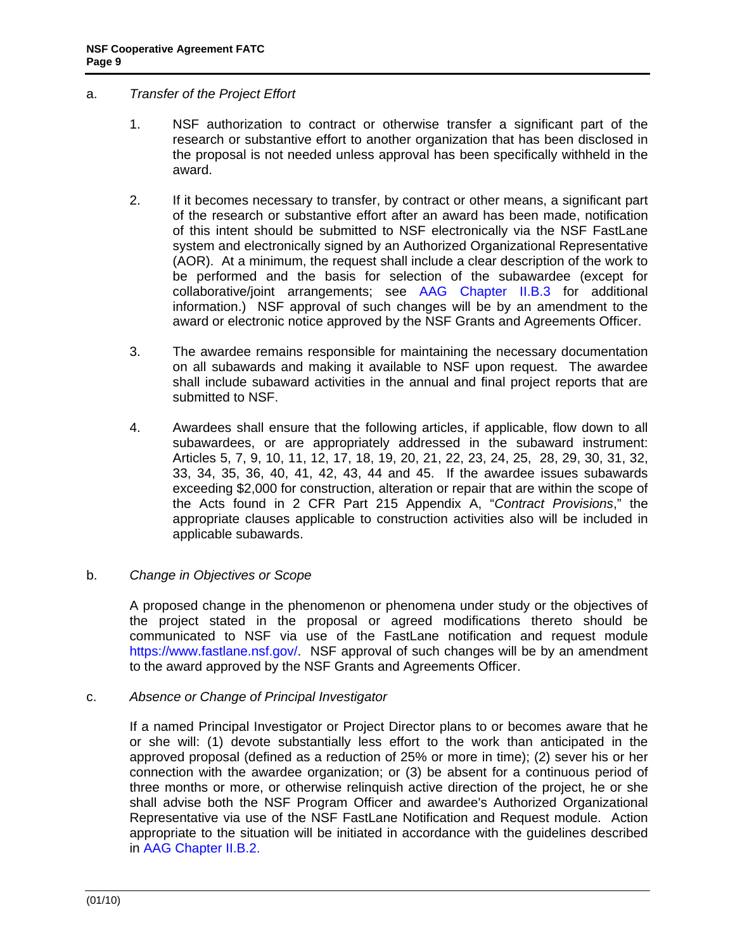## <span id="page-8-0"></span>a. *Transfer of the Project Effort*

- 1. NSF authorization to contract or otherwise transfer a significant part of the research or substantive effort to another organization that has been disclosed in the proposal is not needed unless approval has been specifically withheld in the award.
- 2. If it becomes necessary to transfer, by contract or other means, a significant part of the research or substantive effort after an award has been made, notification of this intent should be submitted to NSF electronically via the NSF FastLane system and electronically signed by an Authorized Organizational Representative (AOR). At a minimum, the request shall include a clear description of the work to be performed and the basis for selection of the subawardee (except for collaborative/joint arrangements; see [AAG Chapter II.B.3](http://www.nsf.gov/pubs/policydocs/pappguide/nsf10_1/aag_2.jsp#IIB3) for additional information.) NSF approval of such changes will be by an amendment to the award or electronic notice approved by the NSF Grants and Agreements Officer.
- 3. The awardee remains responsible for maintaining the necessary documentation on all subawards and making it available to NSF upon request. The awardee shall include subaward activities in the annual and final project reports that are submitted to NSF.
- 4. Awardees shall ensure that the following articles, if applicable, flow down to all subawardees, or are appropriately addressed in the subaward instrument: Articles 5, 7, 9, 10, 11, 12, 17, 18, 19, 20, 21, 22, 23, 24, 25, 28, 29, 30, 31, 32, 33, 34, 35, 36, 40, 41, 42, 43, 44 and 45. If the awardee issues subawards exceeding \$2,000 for construction, alteration or repair that are within the scope of the Acts found in 2 CFR Part 215 Appendix A, "*Contract Provisions*," the appropriate clauses applicable to construction activities also will be included in applicable subawards.

### b. *Change in Objectives or Scope*

 A proposed change in the phenomenon or phenomena under study or the objectives of the project stated in the proposal or agreed modifications thereto should be communicated to NSF via use of the FastLane notification and request module https://www.fastlane.nsf.gov/. NSF approval of such changes will be by an amendment to the award approved by the NSF Grants and Agreements Officer.

### c. *Absence or Change of Principal Investigator*

 If a named Principal Investigator or Project Director plans to or becomes aware that he or she will: (1) devote substantially less effort to the work than anticipated in the approved proposal (defined as a reduction of 25% or more in time); (2) sever his or her connection with the awardee organization; or (3) be absent for a continuous period of three months or more, or otherwise relinquish active direction of the project, he or she shall advise both the NSF Program Officer and awardee's Authorized Organizational Representative via use of the NSF FastLane Notification and Request module. Action appropriate to the situation will be initiated in accordance with the guidelines described in [AAG Chapter II.B.2](http://www.nsf.gov/pubs/policydocs/pappguide/nsf10_1/aag_2.jsp#IIB2).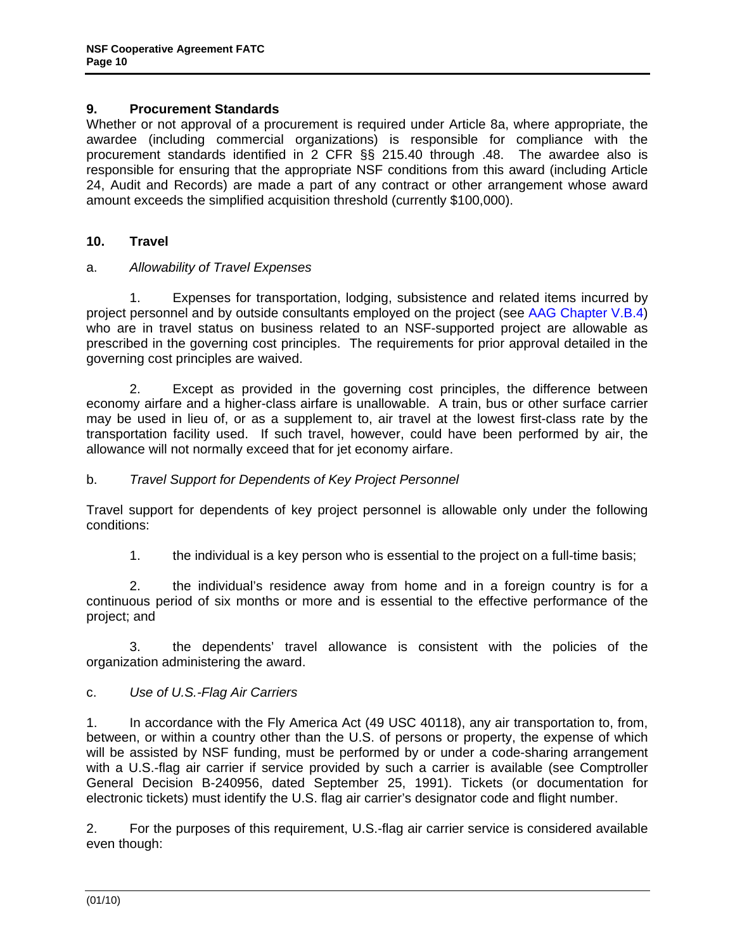## <span id="page-9-0"></span>**9. Procurement Standards**

Whether or not approval of a procurement is required under Article 8a, where appropriate, the awardee (including commercial organizations) is responsible for compliance with the procurement standards identified in 2 CFR §§ 215.40 through .48. The awardee also is responsible for ensuring that the appropriate NSF conditions from this award (including Article 24, Audit and Records) are made a part of any contract or other arrangement whose award amount exceeds the simplified acquisition threshold (currently \$100,000).

## **10. Travel**

## a. *Allowability of Travel Expenses*

 1. Expenses for transportation, lodging, subsistence and related items incurred by project personnel and by outside consultants employed on the project (see [AAG Chapter V.B.4\)](http://www.nsf.gov/pubs/policydocs/pappguide/nsf10_1/aag_3.jsp) who are in travel status on business related to an NSF-supported project are allowable as prescribed in the governing cost principles. The requirements for prior approval detailed in the governing cost principles are waived.

 2. Except as provided in the governing cost principles, the difference between economy airfare and a higher-class airfare is unallowable. A train, bus or other surface carrier may be used in lieu of, or as a supplement to, air travel at the lowest first-class rate by the transportation facility used. If such travel, however, could have been performed by air, the allowance will not normally exceed that for jet economy airfare.

## b. *Travel Support for Dependents of Key Project Personnel*

 Travel support for dependents of key project personnel is allowable only under the following conditions:

1. the individual is a key person who is essential to the project on a full-time basis;

 2. the individual's residence away from home and in a foreign country is for a continuous period of six months or more and is essential to the effective performance of the project; and

 3. the dependents' travel allowance is consistent with the policies of the organization administering the award.

## c. *Use of U.S.-Flag Air Carriers*

1. In accordance with the Fly America Act (49 USC 40118), any air transportation to, from, between, or within a country other than the U.S. of persons or property, the expense of which will be assisted by NSF funding, must be performed by or under a code-sharing arrangement with a U.S.-flag air carrier if service provided by such a carrier is available (see Comptroller General Decision B-240956, dated September 25, 1991). Tickets (or documentation for electronic tickets) must identify the U.S. flag air carrier's designator code and flight number.

2. For the purposes of this requirement, U.S.-flag air carrier service is considered available even though: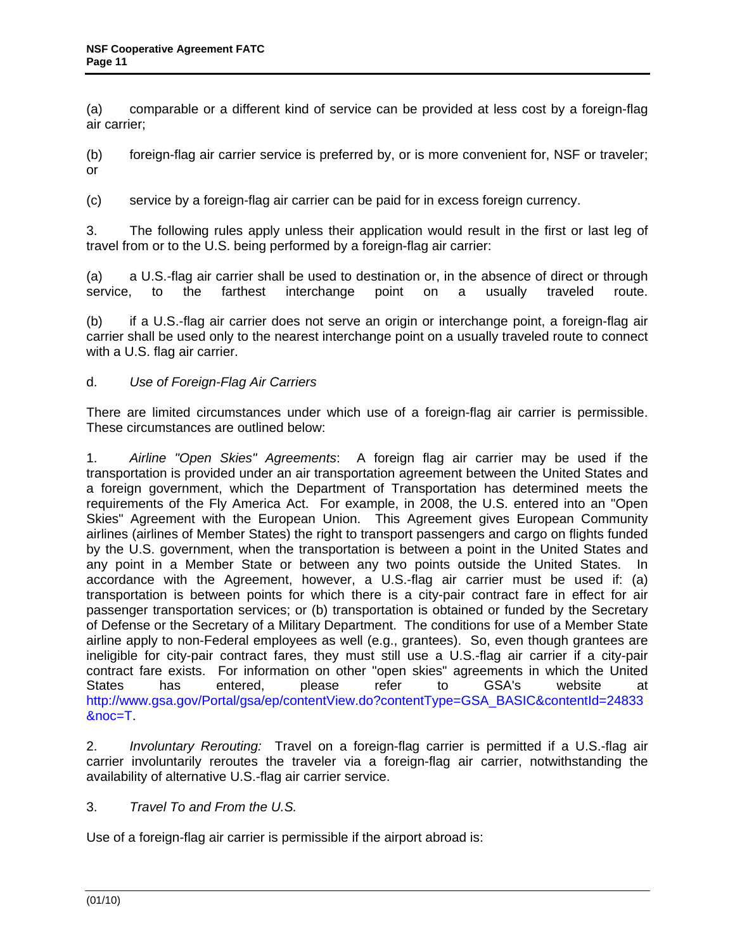<span id="page-10-0"></span>(a) comparable or a different kind of service can be provided at less cost by a foreign-flag air carrier;

(b) foreign-flag air carrier service is preferred by, or is more convenient for, NSF or traveler; or

(c) service by a foreign-flag air carrier can be paid for in excess foreign currency.

3. The following rules apply unless their application would result in the first or last leg of travel from or to the U.S. being performed by a foreign-flag air carrier:

(a) a U.S.-flag air carrier shall be used to destination or, in the absence of direct or through service, to the farthest interchange point on a usually traveled route.

(b) if a U.S.-flag air carrier does not serve an origin or interchange point, a foreign-flag air carrier shall be used only to the nearest interchange point on a usually traveled route to connect with a U.S. flag air carrier.

## d. *Use of Foreign-Flag Air Carriers*

There are limited circumstances under which use of a foreign-flag air carrier is permissible. These circumstances are outlined below:

1. *Airline "Open Skies" Agreements*: A foreign flag air carrier may be used if the transportation is provided under an air transportation agreement between the United States and a foreign government, which the Department of Transportation has determined meets the requirements of the Fly America Act. For example, in 2008, the U.S. entered into an "Open Skies" Agreement with the European Union. This Agreement gives European Community airlines (airlines of Member States) the right to transport passengers and cargo on flights funded by the U.S. government, when the transportation is between a point in the United States and any point in a Member State or between any two points outside the United States. In accordance with the Agreement, however, a U.S.-flag air carrier must be used if: (a) transportation is between points for which there is a city-pair contract fare in effect for air passenger transportation services; or (b) transportation is obtained or funded by the Secretary of Defense or the Secretary of a Military Department. The conditions for use of a Member State airline apply to non-Federal employees as well (e.g., grantees). So, even though grantees are ineligible for city-pair contract fares, they must still use a U.S.-flag air carrier if a city-pair contract fare exists. For information on other "open skies" agreements in which the United States has entered, please refer to GSA's website at http://www.gsa.gov/Portal/gsa/ep/contentView.do?contentType=GSA\_BASIC&contentId=24833 &noc=T.

2. *Involuntary Rerouting:* Travel on a foreign-flag carrier is permitted if a U.S.-flag air carrier involuntarily reroutes the traveler via a foreign-flag air carrier, notwithstanding the availability of alternative U.S.-flag air carrier service.

3. *Travel To and From the U.S.*

Use of a foreign-flag air carrier is permissible if the airport abroad is: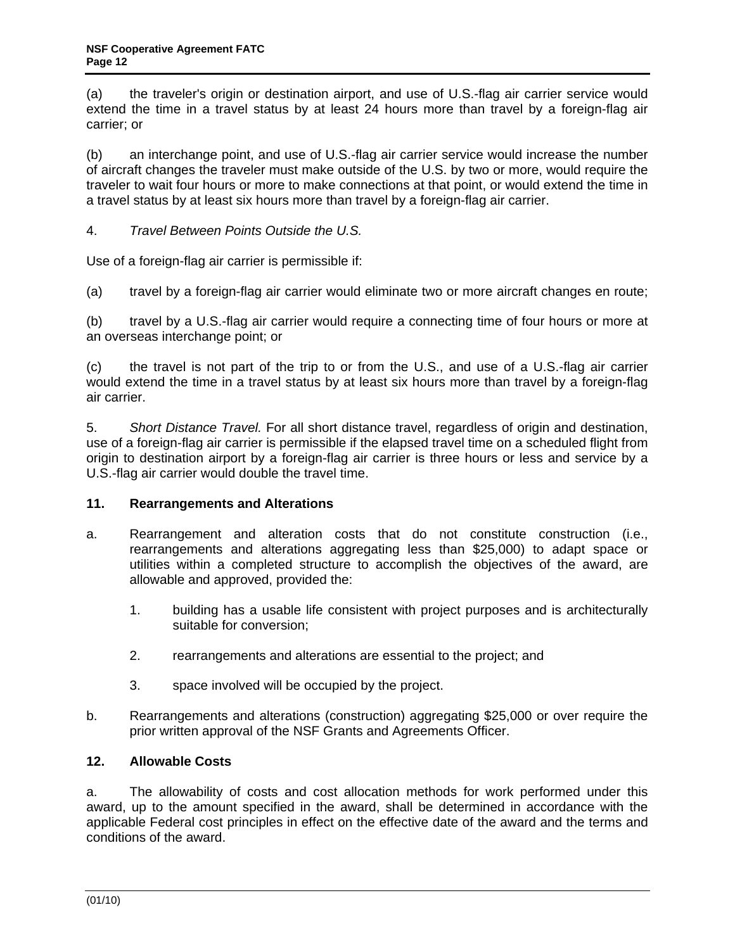<span id="page-11-0"></span>(a) the traveler's origin or destination airport, and use of U.S.-flag air carrier service would extend the time in a travel status by at least 24 hours more than travel by a foreign-flag air carrier; or

(b) an interchange point, and use of U.S.-flag air carrier service would increase the number of aircraft changes the traveler must make outside of the U.S. by two or more, would require the traveler to wait four hours or more to make connections at that point, or would extend the time in a travel status by at least six hours more than travel by a foreign-flag air carrier.

4. *Travel Between Points Outside the U.S.*

Use of a foreign-flag air carrier is permissible if:

(a) travel by a foreign-flag air carrier would eliminate two or more aircraft changes en route;

(b) travel by a U.S.-flag air carrier would require a connecting time of four hours or more at an overseas interchange point; or

(c) the travel is not part of the trip to or from the U.S., and use of a U.S.-flag air carrier would extend the time in a travel status by at least six hours more than travel by a foreign-flag air carrier.

5. *Short Distance Travel.* For all short distance travel, regardless of origin and destination, use of a foreign-flag air carrier is permissible if the elapsed travel time on a scheduled flight from origin to destination airport by a foreign-flag air carrier is three hours or less and service by a U.S.-flag air carrier would double the travel time.

## **11. Rearrangements and Alterations**

- a. Rearrangement and alteration costs that do not constitute construction (i.e., rearrangements and alterations aggregating less than \$25,000) to adapt space or utilities within a completed structure to accomplish the objectives of the award, are allowable and approved, provided the:
	- 1. building has a usable life consistent with project purposes and is architecturally suitable for conversion;
	- 2. rearrangements and alterations are essential to the project; and
	- 3. space involved will be occupied by the project.
- b. Rearrangements and alterations (construction) aggregating \$25,000 or over require the prior written approval of the NSF Grants and Agreements Officer.

## **12. Allowable Costs**

a. The allowability of costs and cost allocation methods for work performed under this award, up to the amount specified in the award, shall be determined in accordance with the applicable Federal cost principles in effect on the effective date of the award and the terms and conditions of the award.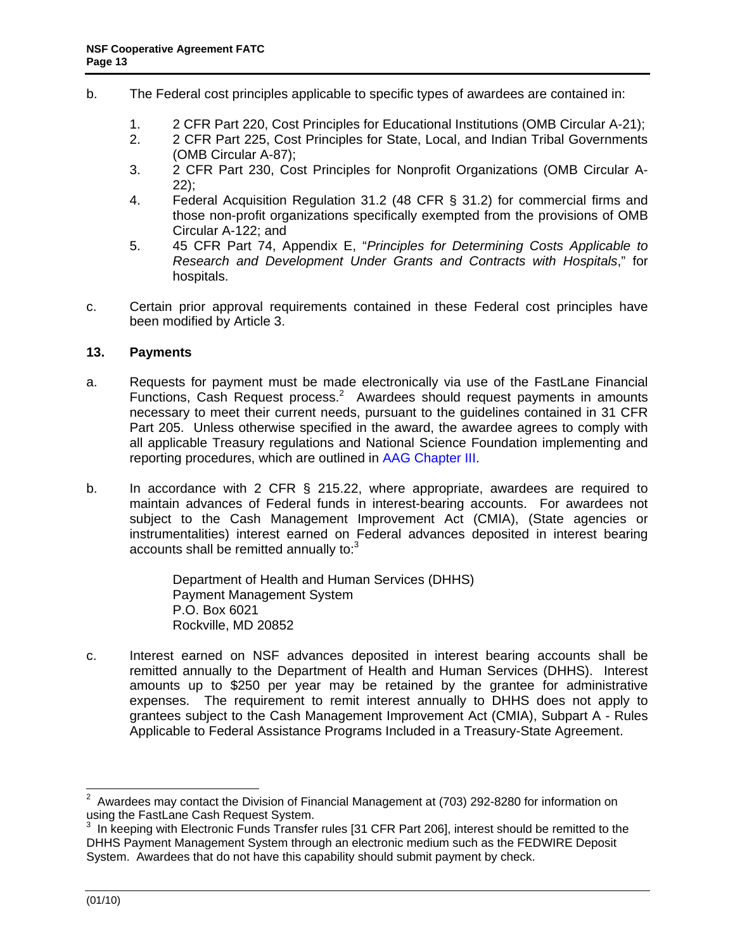- <span id="page-12-0"></span>b. The Federal cost principles applicable to specific types of awardees are contained in:
	- 1. 2 CFR Part 220, Cost Principles for Educational Institutions (OMB Circular A-21);
	- 2. 2 CFR Part 225, Cost Principles for State, Local, and Indian Tribal Governments (OMB Circular A-87);
	- 3. 2 CFR Part 230, Cost Principles for Nonprofit Organizations (OMB Circular A-22);
	- 4. Federal Acquisition Regulation 31.2 (48 CFR § 31.2) for commercial firms and those non-profit organizations specifically exempted from the provisions of OMB Circular A-122; and
	- 5. 45 CFR Part 74, Appendix E, "*Principles for Determining Costs Applicable to Research and Development Under Grants and Contracts with Hospitals*," for hospitals.
- c. Certain prior approval requirements contained in these Federal cost principles have been modified by Article 3.

## **13. Payments**

- a. Requests for payment must be made electronically via use of the FastLane Financial Functions, Cash Request process.<sup>2</sup> Awardees should request payments in amounts necessary to meet their current needs, pursuant to the guidelines contained in 31 CFR Part 205. Unless otherwise specified in the award, the awardee agrees to comply with all applicable Treasury regulations and National Science Foundation implementing and reporting procedures, which are outlined in [AAG Chapter III.](http://www.nsf.gov/pubs/policydocs/pappguide/nsf10_1/aag_3.jsp)
- b. In accordance with 2 CFR § 215.22, where appropriate, awardees are required to maintain advances of Federal funds in interest-bearing accounts. For awardees not subject to the Cash Management Improvement Act (CMIA), (State agencies or instrumentalities) interest earned on Federal advances deposited in interest bearing accounts shall be remitted annually to: $3$

Department of Health and Human Services (DHHS) Payment Management System P.O. Box 6021 Rockville, MD 20852

c. Interest earned on NSF advances deposited in interest bearing accounts shall be remitted annually to the Department of Health and Human Services (DHHS). Interest amounts up to \$250 per year may be retained by the grantee for administrative expenses. The requirement to remit interest annually to DHHS does not apply to grantees subject to the Cash Management Improvement Act (CMIA), Subpart A - Rules Applicable to Federal Assistance Programs Included in a Treasury-State Agreement.

 2 Awardees may contact the Division of Financial Management at (703) 292-8280 for information on using the FastLane Cash Request System.

 $3$  In keeping with Electronic Funds Transfer rules [31 CFR Part 206], interest should be remitted to the DHHS Payment Management System through an electronic medium such as the FEDWIRE Deposit System. Awardees that do not have this capability should submit payment by check.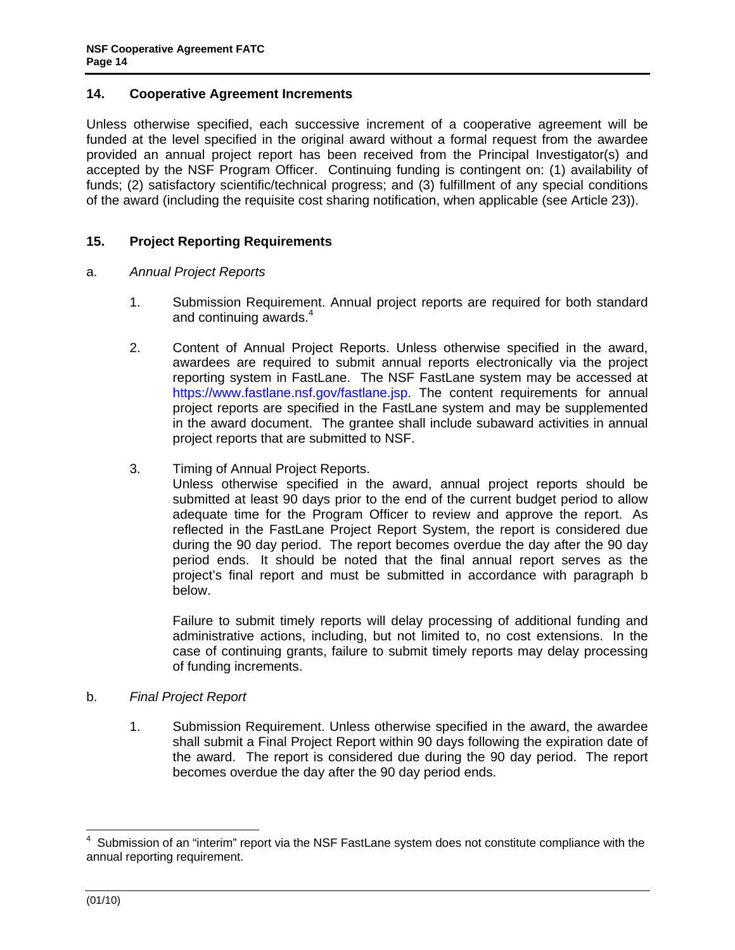## <span id="page-13-0"></span>**14. Cooperative Agreement Increments**

Unless otherwise specified, each successive increment of a cooperative agreement will be funded at the level specified in the original award without a formal request from the awardee provided an annual project report has been received from the Principal Investigator(s) and accepted by the NSF Program Officer. Continuing funding is contingent on: (1) availability of funds; (2) satisfactory scientific/technical progress; and (3) fulfillment of any special conditions of the award (including the requisite cost sharing notification, when applicable (see Article 23)).

## **15. Project Reporting Requirements**

### a. *Annual Project Reports*

- 1. Submission Requirement. Annual project reports are required for both standard and continuing awards.<sup>4</sup>
- 2. Content of Annual Project Reports. Unless otherwise specified in the award, awardees are required to submit annual reports electronically via the project reporting system in FastLane. The NSF FastLane system may be accessed at https://www.fastlane.nsf.gov/fastlane.jsp. The content requirements for annual project reports are specified in the FastLane system and may be supplemented in the award document. The grantee shall include subaward activities in annual project reports that are submitted to NSF.
- 3. Timing of Annual Project Reports.

Unless otherwise specified in the award, annual project reports should be submitted at least 90 days prior to the end of the current budget period to allow adequate time for the Program Officer to review and approve the report. As reflected in the FastLane Project Report System, the report is considered due during the 90 day period. The report becomes overdue the day after the 90 day period ends. It should be noted that the final annual report serves as the project's final report and must be submitted in accordance with paragraph b below.

Failure to submit timely reports will delay processing of additional funding and administrative actions, including, but not limited to, no cost extensions. In the case of continuing grants, failure to submit timely reports may delay processing of funding increments.

### b. *Final Project Report*

1. Submission Requirement. Unless otherwise specified in the award, the awardee shall submit a Final Project Report within 90 days following the expiration date of the award. The report is considered due during the 90 day period. The report becomes overdue the day after the 90 day period ends.

-

<sup>4</sup> Submission of an "interim" report via the NSF FastLane system does not constitute compliance with the annual reporting requirement.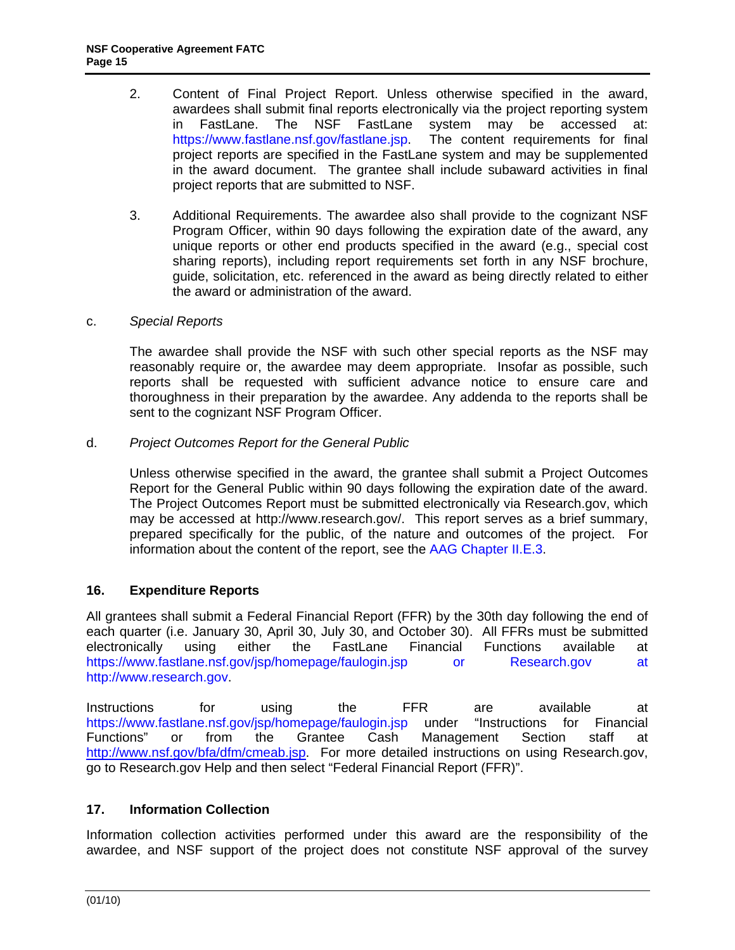- <span id="page-14-0"></span>2. Content of Final Project Report. Unless otherwise specified in the award, awardees shall submit final reports electronically via the project reporting system in FastLane. The NSF FastLane system may be accessed at: https://www.fastlane.nsf.gov/fastlane.jsp. The content requirements for final project reports are specified in the FastLane system and may be supplemented in the award document. The grantee shall include subaward activities in final project reports that are submitted to NSF.
- 3. Additional Requirements. The awardee also shall provide to the cognizant NSF Program Officer, within 90 days following the expiration date of the award, any unique reports or other end products specified in the award (e.g., special cost sharing reports), including report requirements set forth in any NSF brochure, guide, solicitation, etc. referenced in the award as being directly related to either the award or administration of the award.

## c. *Special Reports*

 The awardee shall provide the NSF with such other special reports as the NSF may reasonably require or, the awardee may deem appropriate. Insofar as possible, such reports shall be requested with sufficient advance notice to ensure care and thoroughness in their preparation by the awardee. Any addenda to the reports shall be sent to the cognizant NSF Program Officer.

d. *Project Outcomes Report for the General Public*

Unless otherwise specified in the award, the grantee shall submit a Project Outcomes Report for the General Public within 90 days following the expiration date of the award. The Project Outcomes Report must be submitted electronically via Research.gov, which may be accessed at http://www.research.gov/. This report serves as a brief summary, prepared specifically for the public, of the nature and outcomes of the project. For information about the content of the report, see the [AAG Chapter II.E.3.](http://www.nsf.gov/pubs/policydocs/pappguide/nsf10_1/aag_2.jsp#IIE3)

## **16. Expenditure Reports**

All grantees shall submit a Federal Financial Report (FFR) by the 30th day following the end of each quarter (i.e. January 30, April 30, July 30, and October 30). All FFRs must be submitted electronically using either the FastLane Financial Functions available at https://www.fastlane.nsf.gov/jsp/homepage/faulogin.jsp or Research.gov at http://www.research.gov.

Instructions for using the FFR are available at https://www.fastlane.nsf.gov/jsp/homepage/faulogin.jsp under "Instructions for Financial Functions" or from the Grantee Cash Management Section staff at http://www.nsf.gov/bfa/dfm/cmeab.jsp. For more detailed instructions on using Research.gov, go to Research.gov Help and then select "Federal Financial Report (FFR)".

## **17. Information Collection**

Information collection activities performed under this award are the responsibility of the awardee, and NSF support of the project does not constitute NSF approval of the survey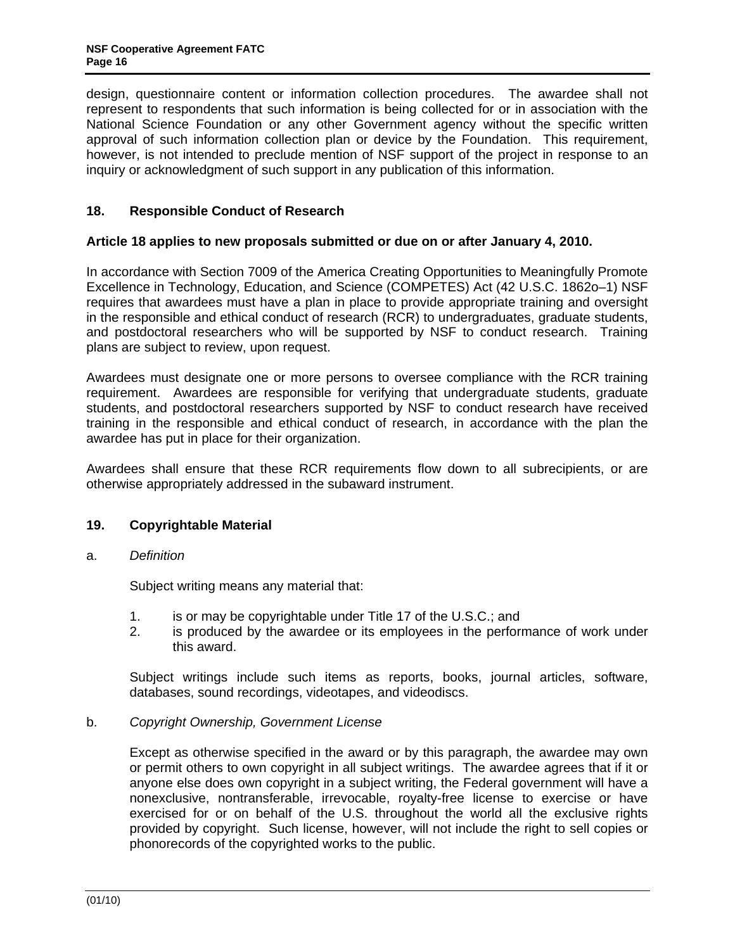<span id="page-15-0"></span>design, questionnaire content or information collection procedures. The awardee shall not represent to respondents that such information is being collected for or in association with the National Science Foundation or any other Government agency without the specific written approval of such information collection plan or device by the Foundation. This requirement, however, is not intended to preclude mention of NSF support of the project in response to an inquiry or acknowledgment of such support in any publication of this information.

## **18. Responsible Conduct of Research**

## **Article 18 applies to new proposals submitted or due on or after January 4, 2010.**

In accordance with Section 7009 of the America Creating Opportunities to Meaningfully Promote Excellence in Technology, Education, and Science (COMPETES) Act (42 U.S.C. 1862o–1) NSF requires that awardees must have a plan in place to provide appropriate training and oversight in the responsible and ethical conduct of research (RCR) to undergraduates, graduate students, and postdoctoral researchers who will be supported by NSF to conduct research. Training plans are subject to review, upon request.

Awardees must designate one or more persons to oversee compliance with the RCR training requirement. Awardees are responsible for verifying that undergraduate students, graduate students, and postdoctoral researchers supported by NSF to conduct research have received training in the responsible and ethical conduct of research, in accordance with the plan the awardee has put in place for their organization.

Awardees shall ensure that these RCR requirements flow down to all subrecipients, or are otherwise appropriately addressed in the subaward instrument.

## **19. Copyrightable Material**

### a. *Definition*

Subject writing means any material that:

- 1. is or may be copyrightable under Title 17 of the U.S.C.; and
- 2. is produced by the awardee or its employees in the performance of work under this award.

 Subject writings include such items as reports, books, journal articles, software, databases, sound recordings, videotapes, and videodiscs.

### b. *Copyright Ownership, Government License*

 Except as otherwise specified in the award or by this paragraph, the awardee may own or permit others to own copyright in all subject writings. The awardee agrees that if it or anyone else does own copyright in a subject writing, the Federal government will have a nonexclusive, nontransferable, irrevocable, royalty-free license to exercise or have exercised for or on behalf of the U.S. throughout the world all the exclusive rights provided by copyright. Such license, however, will not include the right to sell copies or phonorecords of the copyrighted works to the public.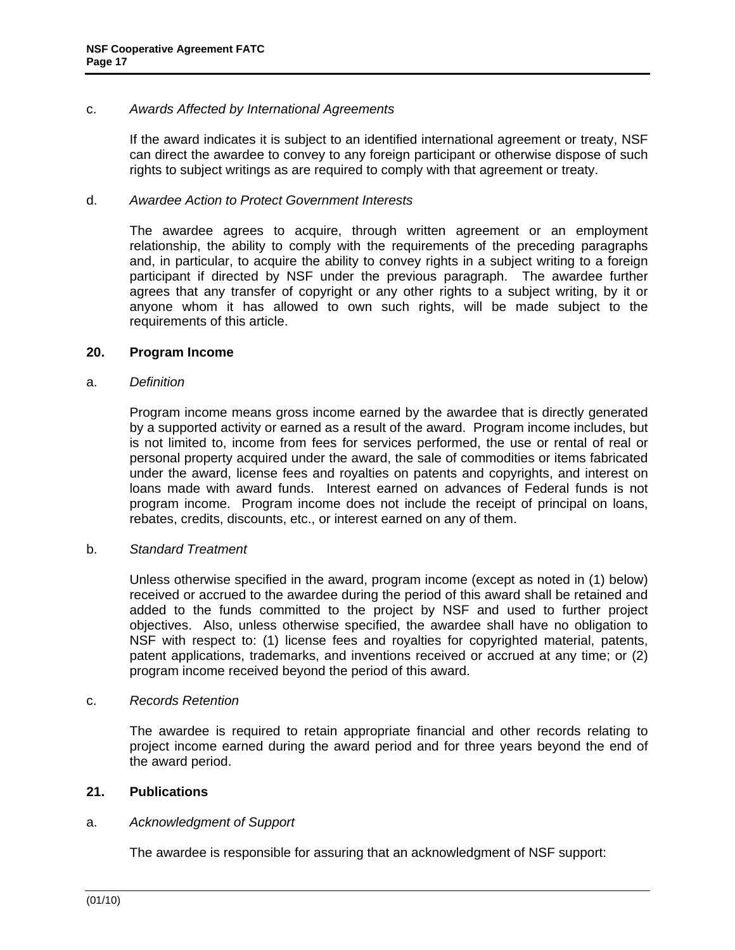## <span id="page-16-0"></span>c. *Awards Affected by International Agreements*

 If the award indicates it is subject to an identified international agreement or treaty, NSF can direct the awardee to convey to any foreign participant or otherwise dispose of such rights to subject writings as are required to comply with that agreement or treaty.

## d. *Awardee Action to Protect Government Interests*

 The awardee agrees to acquire, through written agreement or an employment relationship, the ability to comply with the requirements of the preceding paragraphs and, in particular, to acquire the ability to convey rights in a subject writing to a foreign participant if directed by NSF under the previous paragraph. The awardee further agrees that any transfer of copyright or any other rights to a subject writing, by it or anyone whom it has allowed to own such rights, will be made subject to the requirements of this article.

### **20. Program Income**

### a. *Definition*

 Program income means gross income earned by the awardee that is directly generated by a supported activity or earned as a result of the award. Program income includes, but is not limited to, income from fees for services performed, the use or rental of real or personal property acquired under the award, the sale of commodities or items fabricated under the award, license fees and royalties on patents and copyrights, and interest on loans made with award funds. Interest earned on advances of Federal funds is not program income. Program income does not include the receipt of principal on loans, rebates, credits, discounts, etc., or interest earned on any of them.

### b. *Standard Treatment*

 Unless otherwise specified in the award, program income (except as noted in (1) below) received or accrued to the awardee during the period of this award shall be retained and added to the funds committed to the project by NSF and used to further project objectives. Also, unless otherwise specified, the awardee shall have no obligation to NSF with respect to: (1) license fees and royalties for copyrighted material, patents, patent applications, trademarks, and inventions received or accrued at any time; or (2) program income received beyond the period of this award.

### c. *Records Retention*

 The awardee is required to retain appropriate financial and other records relating to project income earned during the award period and for three years beyond the end of the award period.

## **21. Publications**

### a. *Acknowledgment of Support*

The awardee is responsible for assuring that an acknowledgment of NSF support: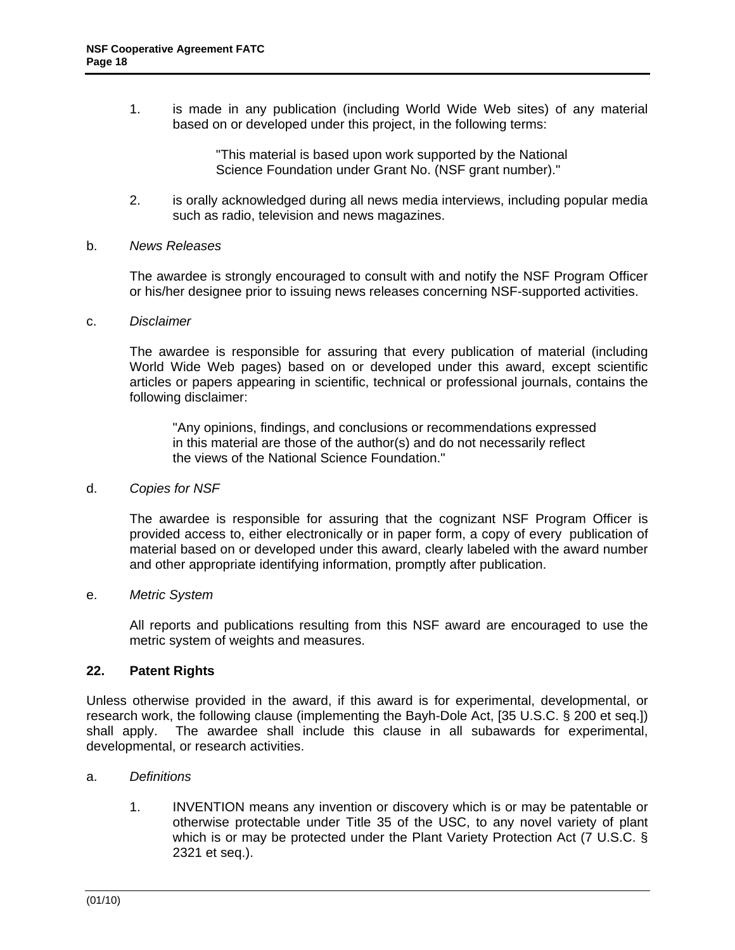<span id="page-17-0"></span>1. is made in any publication (including World Wide Web sites) of any material based on or developed under this project, in the following terms:

> "This material is based upon work supported by the National Science Foundation under Grant No. (NSF grant number)."

2. is orally acknowledged during all news media interviews, including popular media such as radio, television and news magazines.

#### b. *News Releases*

 The awardee is strongly encouraged to consult with and notify the NSF Program Officer or his/her designee prior to issuing news releases concerning NSF-supported activities.

#### c. *Disclaimer*

 The awardee is responsible for assuring that every publication of material (including World Wide Web pages) based on or developed under this award, except scientific articles or papers appearing in scientific, technical or professional journals, contains the following disclaimer:

"Any opinions, findings, and conclusions or recommendations expressed in this material are those of the author(s) and do not necessarily reflect the views of the National Science Foundation."

### d. *Copies for NSF*

 The awardee is responsible for assuring that the cognizant NSF Program Officer is provided access to, either electronically or in paper form, a copy of every publication of material based on or developed under this award, clearly labeled with the award number and other appropriate identifying information, promptly after publication.

### e. *Metric System*

 All reports and publications resulting from this NSF award are encouraged to use the metric system of weights and measures.

## **22. Patent Rights**

Unless otherwise provided in the award, if this award is for experimental, developmental, or research work, the following clause (implementing the Bayh-Dole Act, [35 U.S.C. § 200 et seq.]) shall apply. The awardee shall include this clause in all subawards for experimental, developmental, or research activities.

### a. *Definitions*

1. INVENTION means any invention or discovery which is or may be patentable or otherwise protectable under Title 35 of the USC, to any novel variety of plant which is or may be protected under the Plant Variety Protection Act (7 U.S.C. § 2321 et seq.).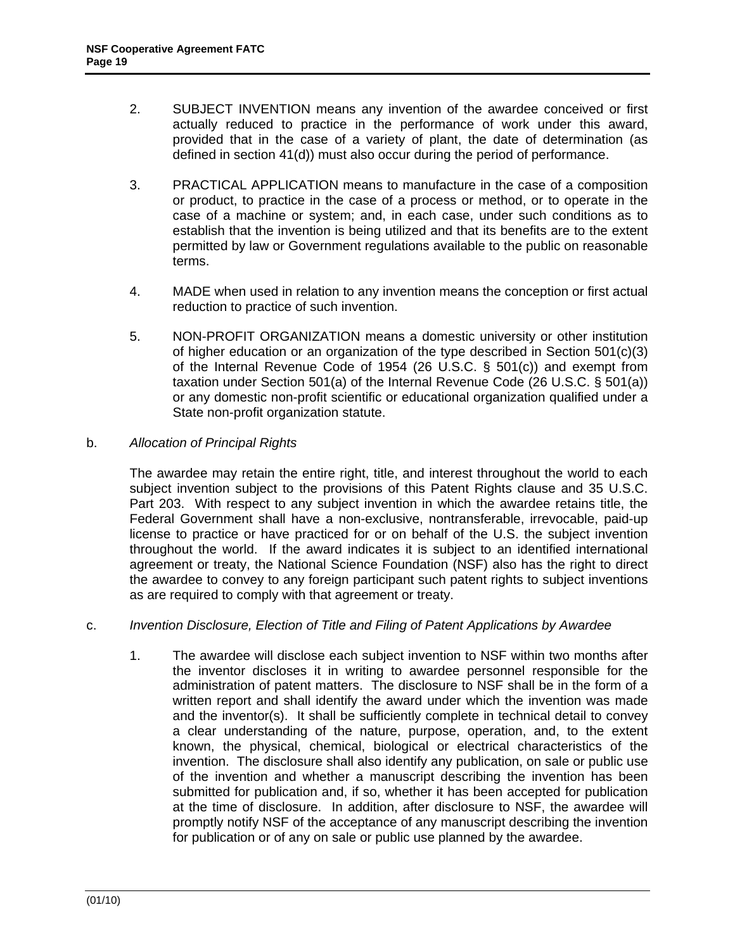- <span id="page-18-0"></span>2. SUBJECT INVENTION means any invention of the awardee conceived or first actually reduced to practice in the performance of work under this award, provided that in the case of a variety of plant, the date of determination (as defined in section 41(d)) must also occur during the period of performance.
- 3. PRACTICAL APPLICATION means to manufacture in the case of a composition or product, to practice in the case of a process or method, or to operate in the case of a machine or system; and, in each case, under such conditions as to establish that the invention is being utilized and that its benefits are to the extent permitted by law or Government regulations available to the public on reasonable terms.
- 4. MADE when used in relation to any invention means the conception or first actual reduction to practice of such invention.
- 5. NON-PROFIT ORGANIZATION means a domestic university or other institution of higher education or an organization of the type described in Section 501(c)(3) of the Internal Revenue Code of 1954 (26 U.S.C.  $\S$  501(c)) and exempt from taxation under Section 501(a) of the Internal Revenue Code (26 U.S.C. § 501(a)) or any domestic non-profit scientific or educational organization qualified under a State non-profit organization statute.

## b. *Allocation of Principal Rights*

 The awardee may retain the entire right, title, and interest throughout the world to each subject invention subject to the provisions of this Patent Rights clause and 35 U.S.C. Part 203. With respect to any subject invention in which the awardee retains title, the Federal Government shall have a non-exclusive, nontransferable, irrevocable, paid-up license to practice or have practiced for or on behalf of the U.S. the subject invention throughout the world. If the award indicates it is subject to an identified international agreement or treaty, the National Science Foundation (NSF) also has the right to direct the awardee to convey to any foreign participant such patent rights to subject inventions as are required to comply with that agreement or treaty.

### c. *Invention Disclosure, Election of Title and Filing of Patent Applications by Awardee*

1. The awardee will disclose each subject invention to NSF within two months after the inventor discloses it in writing to awardee personnel responsible for the administration of patent matters. The disclosure to NSF shall be in the form of a written report and shall identify the award under which the invention was made and the inventor(s). It shall be sufficiently complete in technical detail to convey a clear understanding of the nature, purpose, operation, and, to the extent known, the physical, chemical, biological or electrical characteristics of the invention. The disclosure shall also identify any publication, on sale or public use of the invention and whether a manuscript describing the invention has been submitted for publication and, if so, whether it has been accepted for publication at the time of disclosure. In addition, after disclosure to NSF, the awardee will promptly notify NSF of the acceptance of any manuscript describing the invention for publication or of any on sale or public use planned by the awardee.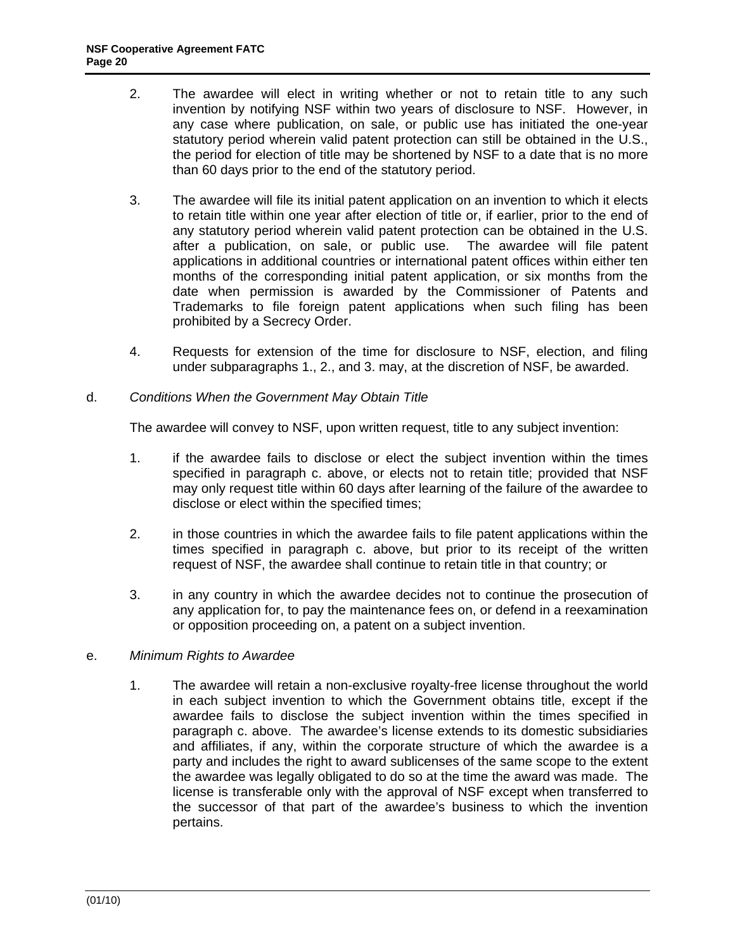- <span id="page-19-0"></span>2. The awardee will elect in writing whether or not to retain title to any such invention by notifying NSF within two years of disclosure to NSF. However, in any case where publication, on sale, or public use has initiated the one-year statutory period wherein valid patent protection can still be obtained in the U.S., the period for election of title may be shortened by NSF to a date that is no more than 60 days prior to the end of the statutory period.
- 3. The awardee will file its initial patent application on an invention to which it elects to retain title within one year after election of title or, if earlier, prior to the end of any statutory period wherein valid patent protection can be obtained in the U.S. after a publication, on sale, or public use. The awardee will file patent applications in additional countries or international patent offices within either ten months of the corresponding initial patent application, or six months from the date when permission is awarded by the Commissioner of Patents and Trademarks to file foreign patent applications when such filing has been prohibited by a Secrecy Order.
- 4. Requests for extension of the time for disclosure to NSF, election, and filing under subparagraphs 1., 2., and 3. may, at the discretion of NSF, be awarded.
- d. *Conditions When the Government May Obtain Title*

The awardee will convey to NSF, upon written request, title to any subject invention:

- 1. if the awardee fails to disclose or elect the subject invention within the times specified in paragraph c. above, or elects not to retain title; provided that NSF may only request title within 60 days after learning of the failure of the awardee to disclose or elect within the specified times;
- 2. in those countries in which the awardee fails to file patent applications within the times specified in paragraph c. above, but prior to its receipt of the written request of NSF, the awardee shall continue to retain title in that country; or
- 3. in any country in which the awardee decides not to continue the prosecution of any application for, to pay the maintenance fees on, or defend in a reexamination or opposition proceeding on, a patent on a subject invention.
- e. *Minimum Rights to Awardee*
	- 1. The awardee will retain a non-exclusive royalty-free license throughout the world in each subject invention to which the Government obtains title, except if the awardee fails to disclose the subject invention within the times specified in paragraph c. above. The awardee's license extends to its domestic subsidiaries and affiliates, if any, within the corporate structure of which the awardee is a party and includes the right to award sublicenses of the same scope to the extent the awardee was legally obligated to do so at the time the award was made. The license is transferable only with the approval of NSF except when transferred to the successor of that part of the awardee's business to which the invention pertains.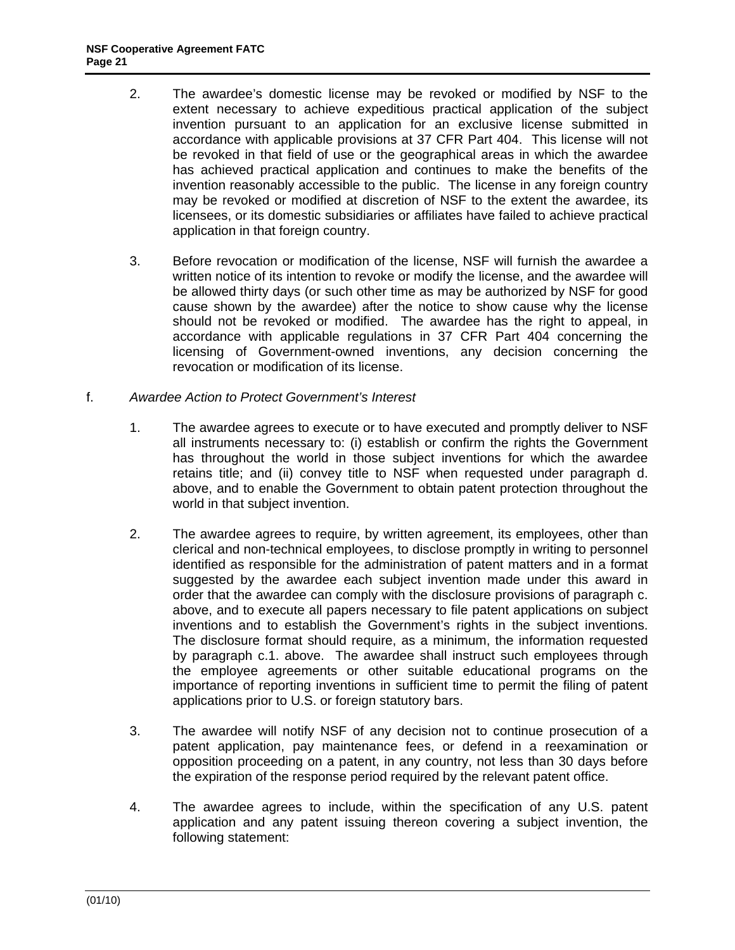- <span id="page-20-0"></span>2. The awardee's domestic license may be revoked or modified by NSF to the extent necessary to achieve expeditious practical application of the subject invention pursuant to an application for an exclusive license submitted in accordance with applicable provisions at 37 CFR Part 404. This license will not be revoked in that field of use or the geographical areas in which the awardee has achieved practical application and continues to make the benefits of the invention reasonably accessible to the public. The license in any foreign country may be revoked or modified at discretion of NSF to the extent the awardee, its licensees, or its domestic subsidiaries or affiliates have failed to achieve practical application in that foreign country.
- 3. Before revocation or modification of the license, NSF will furnish the awardee a written notice of its intention to revoke or modify the license, and the awardee will be allowed thirty days (or such other time as may be authorized by NSF for good cause shown by the awardee) after the notice to show cause why the license should not be revoked or modified. The awardee has the right to appeal, in accordance with applicable regulations in 37 CFR Part 404 concerning the licensing of Government-owned inventions, any decision concerning the revocation or modification of its license.
- f. *Awardee Action to Protect Government's Interest*
	- 1. The awardee agrees to execute or to have executed and promptly deliver to NSF all instruments necessary to: (i) establish or confirm the rights the Government has throughout the world in those subject inventions for which the awardee retains title; and (ii) convey title to NSF when requested under paragraph d. above, and to enable the Government to obtain patent protection throughout the world in that subject invention.
	- 2. The awardee agrees to require, by written agreement, its employees, other than clerical and non-technical employees, to disclose promptly in writing to personnel identified as responsible for the administration of patent matters and in a format suggested by the awardee each subject invention made under this award in order that the awardee can comply with the disclosure provisions of paragraph c. above, and to execute all papers necessary to file patent applications on subject inventions and to establish the Government's rights in the subject inventions. The disclosure format should require, as a minimum, the information requested by paragraph c.1. above. The awardee shall instruct such employees through the employee agreements or other suitable educational programs on the importance of reporting inventions in sufficient time to permit the filing of patent applications prior to U.S. or foreign statutory bars.
	- 3. The awardee will notify NSF of any decision not to continue prosecution of a patent application, pay maintenance fees, or defend in a reexamination or opposition proceeding on a patent, in any country, not less than 30 days before the expiration of the response period required by the relevant patent office.
	- 4. The awardee agrees to include, within the specification of any U.S. patent application and any patent issuing thereon covering a subject invention, the following statement: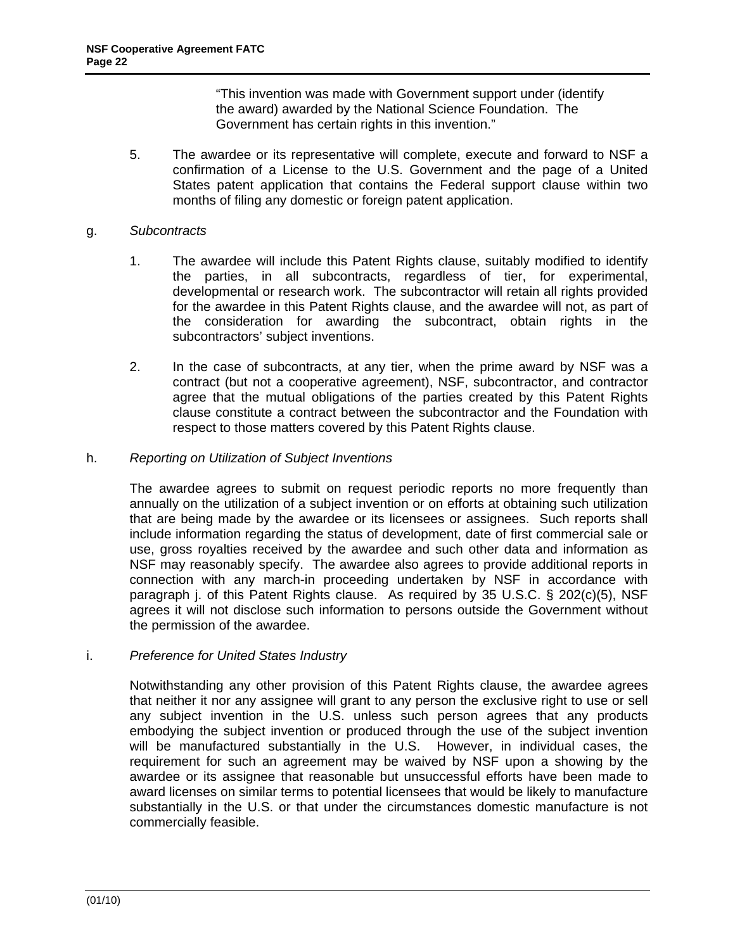"This invention was made with Government support under (identify the award) awarded by the National Science Foundation. The Government has certain rights in this invention."

<span id="page-21-0"></span>5. The awardee or its representative will complete, execute and forward to NSF a confirmation of a License to the U.S. Government and the page of a United States patent application that contains the Federal support clause within two months of filing any domestic or foreign patent application.

### g. *Subcontracts*

- 1. The awardee will include this Patent Rights clause, suitably modified to identify the parties, in all subcontracts, regardless of tier, for experimental, developmental or research work. The subcontractor will retain all rights provided for the awardee in this Patent Rights clause, and the awardee will not, as part of the consideration for awarding the subcontract, obtain rights in the subcontractors' subject inventions.
- 2. In the case of subcontracts, at any tier, when the prime award by NSF was a contract (but not a cooperative agreement), NSF, subcontractor, and contractor agree that the mutual obligations of the parties created by this Patent Rights clause constitute a contract between the subcontractor and the Foundation with respect to those matters covered by this Patent Rights clause.

### h. *Reporting on Utilization of Subject Inventions*

 The awardee agrees to submit on request periodic reports no more frequently than annually on the utilization of a subject invention or on efforts at obtaining such utilization that are being made by the awardee or its licensees or assignees. Such reports shall include information regarding the status of development, date of first commercial sale or use, gross royalties received by the awardee and such other data and information as NSF may reasonably specify. The awardee also agrees to provide additional reports in connection with any march-in proceeding undertaken by NSF in accordance with paragraph j. of this Patent Rights clause. As required by 35 U.S.C. § 202(c)(5), NSF agrees it will not disclose such information to persons outside the Government without the permission of the awardee.

### i. *Preference for United States Industry*

 Notwithstanding any other provision of this Patent Rights clause, the awardee agrees that neither it nor any assignee will grant to any person the exclusive right to use or sell any subject invention in the U.S. unless such person agrees that any products embodying the subject invention or produced through the use of the subject invention will be manufactured substantially in the U.S. However, in individual cases, the requirement for such an agreement may be waived by NSF upon a showing by the awardee or its assignee that reasonable but unsuccessful efforts have been made to award licenses on similar terms to potential licensees that would be likely to manufacture substantially in the U.S. or that under the circumstances domestic manufacture is not commercially feasible.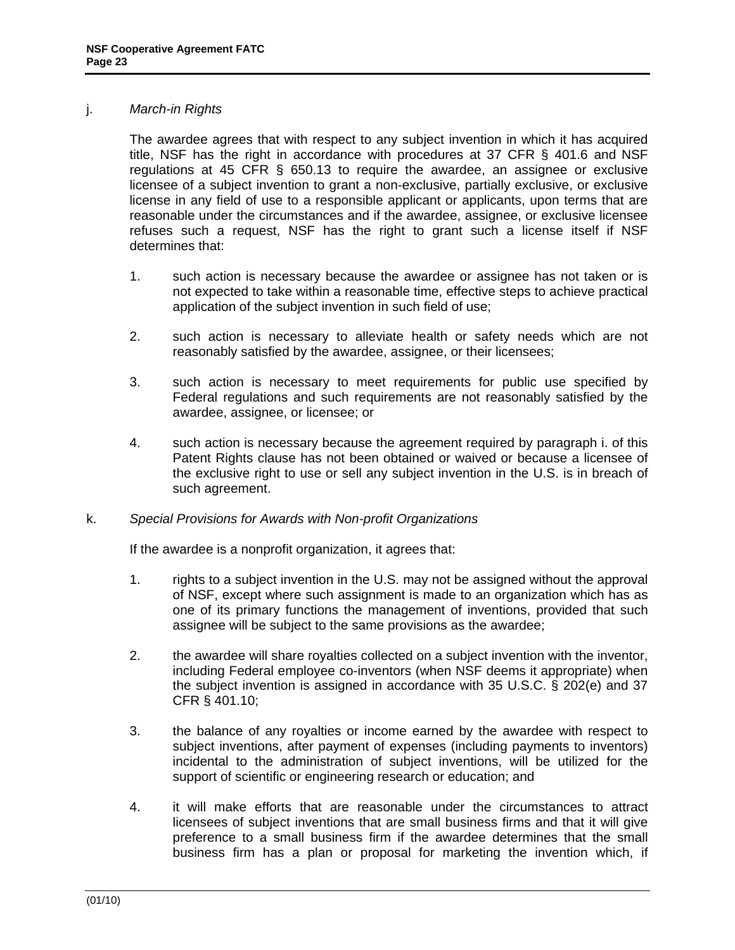### <span id="page-22-0"></span>j. *March-in Rights*

 The awardee agrees that with respect to any subject invention in which it has acquired title, NSF has the right in accordance with procedures at 37 CFR § 401.6 and NSF regulations at 45 CFR § 650.13 to require the awardee, an assignee or exclusive licensee of a subject invention to grant a non-exclusive, partially exclusive, or exclusive license in any field of use to a responsible applicant or applicants, upon terms that are reasonable under the circumstances and if the awardee, assignee, or exclusive licensee refuses such a request, NSF has the right to grant such a license itself if NSF determines that:

- 1. such action is necessary because the awardee or assignee has not taken or is not expected to take within a reasonable time, effective steps to achieve practical application of the subject invention in such field of use;
- 2. such action is necessary to alleviate health or safety needs which are not reasonably satisfied by the awardee, assignee, or their licensees;
- 3. such action is necessary to meet requirements for public use specified by Federal regulations and such requirements are not reasonably satisfied by the awardee, assignee, or licensee; or
- 4. such action is necessary because the agreement required by paragraph i. of this Patent Rights clause has not been obtained or waived or because a licensee of the exclusive right to use or sell any subject invention in the U.S. is in breach of such agreement.

### k. *Special Provisions for Awards with Non-profit Organizations*

If the awardee is a nonprofit organization, it agrees that:

- 1. rights to a subject invention in the U.S. may not be assigned without the approval of NSF, except where such assignment is made to an organization which has as one of its primary functions the management of inventions, provided that such assignee will be subject to the same provisions as the awardee;
- 2. the awardee will share royalties collected on a subject invention with the inventor, including Federal employee co-inventors (when NSF deems it appropriate) when the subject invention is assigned in accordance with 35 U.S.C. § 202(e) and 37 CFR § 401.10;
- 3. the balance of any royalties or income earned by the awardee with respect to subject inventions, after payment of expenses (including payments to inventors) incidental to the administration of subject inventions, will be utilized for the support of scientific or engineering research or education; and
- 4. it will make efforts that are reasonable under the circumstances to attract licensees of subject inventions that are small business firms and that it will give preference to a small business firm if the awardee determines that the small business firm has a plan or proposal for marketing the invention which, if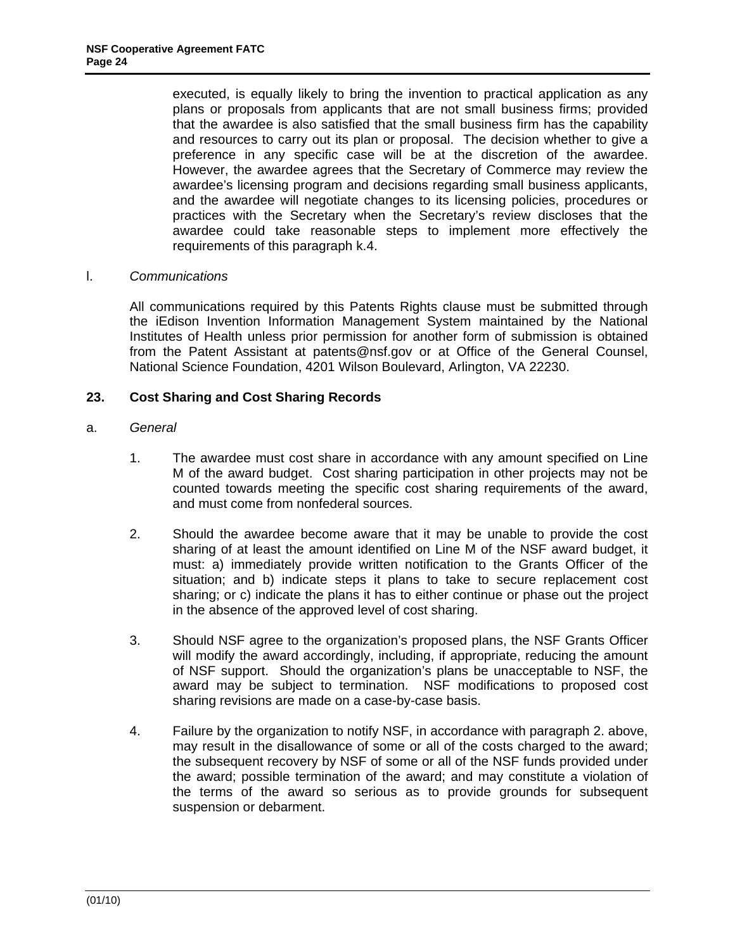<span id="page-23-0"></span>executed, is equally likely to bring the invention to practical application as any plans or proposals from applicants that are not small business firms; provided that the awardee is also satisfied that the small business firm has the capability and resources to carry out its plan or proposal. The decision whether to give a preference in any specific case will be at the discretion of the awardee. However, the awardee agrees that the Secretary of Commerce may review the awardee's licensing program and decisions regarding small business applicants, and the awardee will negotiate changes to its licensing policies, procedures or practices with the Secretary when the Secretary's review discloses that the awardee could take reasonable steps to implement more effectively the requirements of this paragraph k.4.

## l. *Communications*

 All communications required by this Patents Rights clause must be submitted through the iEdison Invention Information Management System maintained by the National Institutes of Health unless prior permission for another form of submission is obtained from the Patent Assistant at patents@nsf.gov or at Office of the General Counsel, National Science Foundation, 4201 Wilson Boulevard, Arlington, VA 22230.

## **23. Cost Sharing and Cost Sharing Records**

- a. *General*
	- 1. The awardee must cost share in accordance with any amount specified on Line M of the award budget. Cost sharing participation in other projects may not be counted towards meeting the specific cost sharing requirements of the award, and must come from nonfederal sources.
	- 2. Should the awardee become aware that it may be unable to provide the cost sharing of at least the amount identified on Line M of the NSF award budget, it must: a) immediately provide written notification to the Grants Officer of the situation; and b) indicate steps it plans to take to secure replacement cost sharing; or c) indicate the plans it has to either continue or phase out the project in the absence of the approved level of cost sharing.
	- 3. Should NSF agree to the organization's proposed plans, the NSF Grants Officer will modify the award accordingly, including, if appropriate, reducing the amount of NSF support. Should the organization's plans be unacceptable to NSF, the award may be subject to termination. NSF modifications to proposed cost sharing revisions are made on a case-by-case basis.
	- 4. Failure by the organization to notify NSF, in accordance with paragraph 2. above, may result in the disallowance of some or all of the costs charged to the award; the subsequent recovery by NSF of some or all of the NSF funds provided under the award; possible termination of the award; and may constitute a violation of the terms of the award so serious as to provide grounds for subsequent suspension or debarment.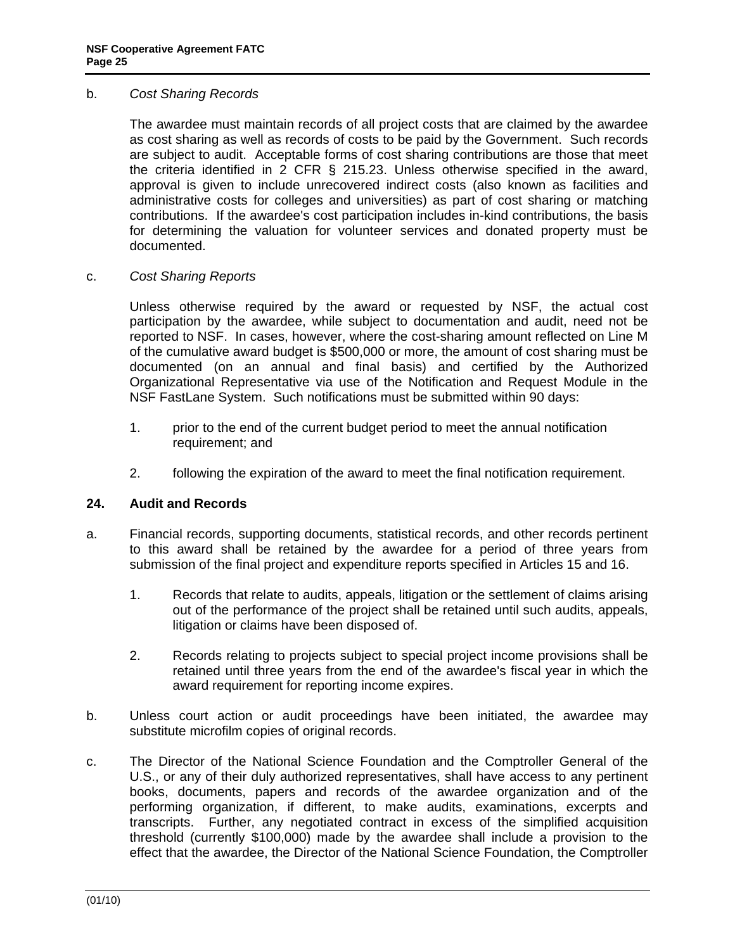#### <span id="page-24-0"></span>b. *Cost Sharing Records*

 The awardee must maintain records of all project costs that are claimed by the awardee as cost sharing as well as records of costs to be paid by the Government. Such records are subject to audit. Acceptable forms of cost sharing contributions are those that meet the criteria identified in 2 CFR § 215.23. Unless otherwise specified in the award, approval is given to include unrecovered indirect costs (also known as facilities and administrative costs for colleges and universities) as part of cost sharing or matching contributions. If the awardee's cost participation includes in-kind contributions, the basis for determining the valuation for volunteer services and donated property must be documented.

### c. *Cost Sharing Reports*

 Unless otherwise required by the award or requested by NSF, the actual cost participation by the awardee, while subject to documentation and audit, need not be reported to NSF. In cases, however, where the cost-sharing amount reflected on Line M of the cumulative award budget is \$500,000 or more, the amount of cost sharing must be documented (on an annual and final basis) and certified by the Authorized Organizational Representative via use of the Notification and Request Module in the NSF FastLane System. Such notifications must be submitted within 90 days:

- 1. prior to the end of the current budget period to meet the annual notification requirement; and
- 2. following the expiration of the award to meet the final notification requirement.

### **24. Audit and Records**

- a. Financial records, supporting documents, statistical records, and other records pertinent to this award shall be retained by the awardee for a period of three years from submission of the final project and expenditure reports specified in Articles 15 and 16.
	- 1. Records that relate to audits, appeals, litigation or the settlement of claims arising out of the performance of the project shall be retained until such audits, appeals, litigation or claims have been disposed of.
	- 2. Records relating to projects subject to special project income provisions shall be retained until three years from the end of the awardee's fiscal year in which the award requirement for reporting income expires.
- b. Unless court action or audit proceedings have been initiated, the awardee may substitute microfilm copies of original records.
- c. The Director of the National Science Foundation and the Comptroller General of the U.S., or any of their duly authorized representatives, shall have access to any pertinent books, documents, papers and records of the awardee organization and of the performing organization, if different, to make audits, examinations, excerpts and transcripts. Further, any negotiated contract in excess of the simplified acquisition threshold (currently \$100,000) made by the awardee shall include a provision to the effect that the awardee, the Director of the National Science Foundation, the Comptroller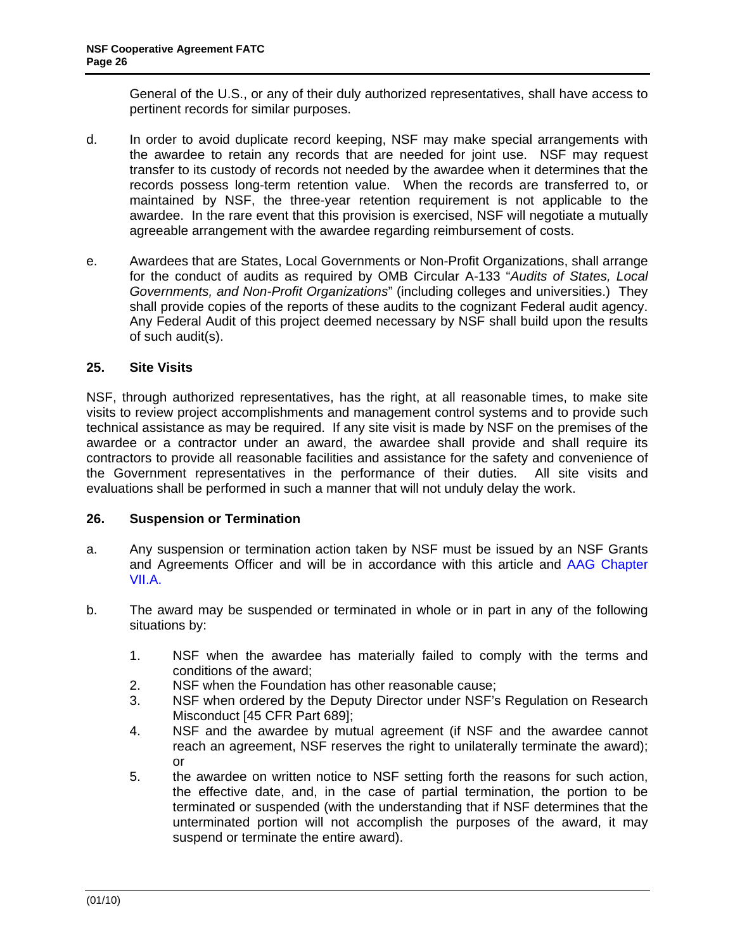<span id="page-25-0"></span>General of the U.S., or any of their duly authorized representatives, shall have access to pertinent records for similar purposes.

- d. In order to avoid duplicate record keeping, NSF may make special arrangements with the awardee to retain any records that are needed for joint use. NSF may request transfer to its custody of records not needed by the awardee when it determines that the records possess long-term retention value. When the records are transferred to, or maintained by NSF, the three-year retention requirement is not applicable to the awardee. In the rare event that this provision is exercised, NSF will negotiate a mutually agreeable arrangement with the awardee regarding reimbursement of costs.
- e. Awardees that are States, Local Governments or Non-Profit Organizations, shall arrange for the conduct of audits as required by OMB Circular A-133 "*Audits of States, Local Governments, and Non-Profit Organizations*" (including colleges and universities.) They shall provide copies of the reports of these audits to the cognizant Federal audit agency. Any Federal Audit of this project deemed necessary by NSF shall build upon the results of such audit(s).

## **25. Site Visits**

NSF, through authorized representatives, has the right, at all reasonable times, to make site visits to review project accomplishments and management control systems and to provide such technical assistance as may be required. If any site visit is made by NSF on the premises of the awardee or a contractor under an award, the awardee shall provide and shall require its contractors to provide all reasonable facilities and assistance for the safety and convenience of the Government representatives in the performance of their duties. All site visits and evaluations shall be performed in such a manner that will not unduly delay the work.

### **26. Suspension or Termination**

- a. Any suspension or termination action taken by NSF must be issued by an NSF Grants and Agreements Officer and will be in accordance with this article and [AAG Chapter](http://www.nsf.gov/pubs/policydocs/pappguide/nsf10_1/aag_7.jsp#VIIA)  [VII.A.](http://www.nsf.gov/pubs/policydocs/pappguide/nsf10_1/aag_7.jsp#VIIA)
- b. The award may be suspended or terminated in whole or in part in any of the following situations by:
	- 1. NSF when the awardee has materially failed to comply with the terms and conditions of the award;
	- 2. NSF when the Foundation has other reasonable cause;
	- 3. NSF when ordered by the Deputy Director under NSF's Regulation on Research Misconduct [45 CFR Part 689];
	- 4. NSF and the awardee by mutual agreement (if NSF and the awardee cannot reach an agreement, NSF reserves the right to unilaterally terminate the award); or
	- 5. the awardee on written notice to NSF setting forth the reasons for such action, the effective date, and, in the case of partial termination, the portion to be terminated or suspended (with the understanding that if NSF determines that the unterminated portion will not accomplish the purposes of the award, it may suspend or terminate the entire award).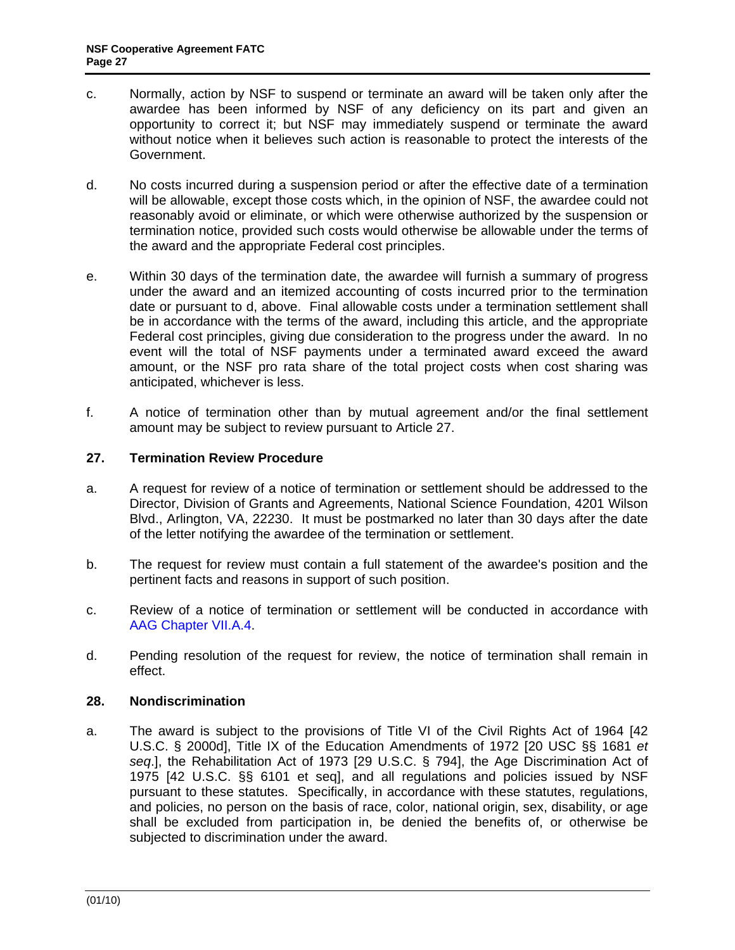- <span id="page-26-0"></span>c. Normally, action by NSF to suspend or terminate an award will be taken only after the awardee has been informed by NSF of any deficiency on its part and given an opportunity to correct it; but NSF may immediately suspend or terminate the award without notice when it believes such action is reasonable to protect the interests of the Government.
- d. No costs incurred during a suspension period or after the effective date of a termination will be allowable, except those costs which, in the opinion of NSF, the awardee could not reasonably avoid or eliminate, or which were otherwise authorized by the suspension or termination notice, provided such costs would otherwise be allowable under the terms of the award and the appropriate Federal cost principles.
- e. Within 30 days of the termination date, the awardee will furnish a summary of progress under the award and an itemized accounting of costs incurred prior to the termination date or pursuant to d, above. Final allowable costs under a termination settlement shall be in accordance with the terms of the award, including this article, and the appropriate Federal cost principles, giving due consideration to the progress under the award. In no event will the total of NSF payments under a terminated award exceed the award amount, or the NSF pro rata share of the total project costs when cost sharing was anticipated, whichever is less.
- f. A notice of termination other than by mutual agreement and/or the final settlement amount may be subject to review pursuant to Article 27.

## **27. Termination Review Procedure**

- a. A request for review of a notice of termination or settlement should be addressed to the Director, Division of Grants and Agreements, National Science Foundation, 4201 Wilson Blvd., Arlington, VA, 22230. It must be postmarked no later than 30 days after the date of the letter notifying the awardee of the termination or settlement.
- b. The request for review must contain a full statement of the awardee's position and the pertinent facts and reasons in support of such position.
- c. Review of a notice of termination or settlement will be conducted in accordance with [AAG Chapter VII.A.4.](http://www.nsf.gov/pubs/policydocs/pappguide/nsf10_1/aag_7.jsp#VIIA4)
- d. Pending resolution of the request for review, the notice of termination shall remain in effect.

### **28. Nondiscrimination**

a. The award is subject to the provisions of Title VI of the Civil Rights Act of 1964 [42 U.S.C. § 2000d], Title IX of the Education Amendments of 1972 [20 USC §§ 1681 *et seq*.], the Rehabilitation Act of 1973 [29 U.S.C. § 794], the Age Discrimination Act of 1975 [42 U.S.C. §§ 6101 et seq], and all regulations and policies issued by NSF pursuant to these statutes. Specifically, in accordance with these statutes, regulations, and policies, no person on the basis of race, color, national origin, sex, disability, or age shall be excluded from participation in, be denied the benefits of, or otherwise be subjected to discrimination under the award.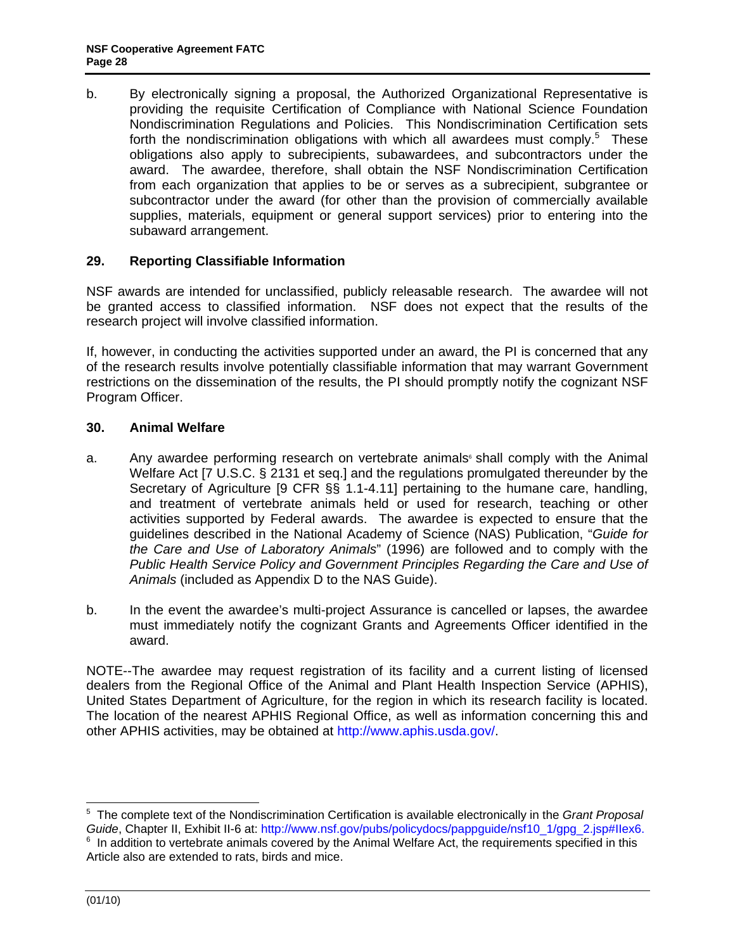<span id="page-27-0"></span>b. By electronically signing a proposal, the Authorized Organizational Representative is providing the requisite Certification of Compliance with National Science Foundation Nondiscrimination Regulations and Policies. This Nondiscrimination Certification sets forth the nondiscrimination obligations with which all awardees must comply.<sup>5</sup> These obligations also apply to subrecipients, subawardees, and subcontractors under the award. The awardee, therefore, shall obtain the NSF Nondiscrimination Certification from each organization that applies to be or serves as a subrecipient, subgrantee or subcontractor under the award (for other than the provision of commercially available supplies, materials, equipment or general support services) prior to entering into the subaward arrangement.

## **29. Reporting Classifiable Information**

NSF awards are intended for unclassified, publicly releasable research. The awardee will not be granted access to classified information. NSF does not expect that the results of the research project will involve classified information.

If, however, in conducting the activities supported under an award, the PI is concerned that any of the research results involve potentially classifiable information that may warrant Government restrictions on the dissemination of the results, the PI should promptly notify the cognizant NSF Program Officer.

### **30. Animal Welfare**

- a. Any awardee performing research on vertebrate animals  $\sinh$  comply with the Animal Welfare Act [7 U.S.C. § 2131 et seq.] and the regulations promulgated thereunder by the Secretary of Agriculture [9 CFR §§ 1.1-4.11] pertaining to the humane care, handling, and treatment of vertebrate animals held or used for research, teaching or other activities supported by Federal awards. The awardee is expected to ensure that the guidelines described in the National Academy of Science (NAS) Publication, "*Guide for the Care and Use of Laboratory Animals*" (1996) are followed and to comply with the *Public Health Service Policy and Government Principles Regarding the Care and Use of Animals* (included as Appendix D to the NAS Guide).
- b. In the event the awardee's multi-project Assurance is cancelled or lapses, the awardee must immediately notify the cognizant Grants and Agreements Officer identified in the award.

NOTE--The awardee may request registration of its facility and a current listing of licensed dealers from the Regional Office of the Animal and Plant Health Inspection Service (APHIS), United States Department of Agriculture, for the region in which its research facility is located. The location of the nearest APHIS Regional Office, as well as information concerning this and other APHIS activities, may be obtained at http://www.aphis.usda.gov/.

 5 The complete text of the Nondiscrimination Certification is available electronically in the *Grant Proposal Guide*, Chapter II, Exhibit II-6 at: http://www.nsf.gov/pubs/policydocs/pappguide/nsf10\_1/gpg\_2.jsp#IIex6.

 $6$  In addition to vertebrate animals covered by the Animal Welfare Act, the requirements specified in this Article also are extended to rats, birds and mice.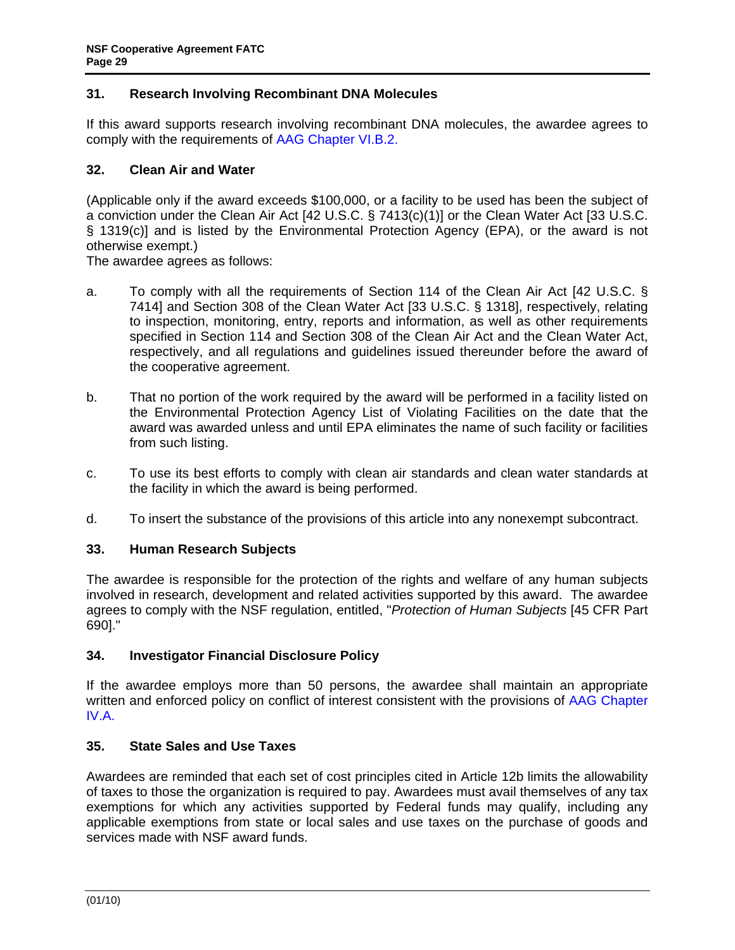## <span id="page-28-0"></span>**31. Research Involving Recombinant DNA Molecules**

If this award supports research involving recombinant DNA molecules, the awardee agrees to comply with the requirements of [AAG Chapter VI.B.2](http://www.nsf.gov/pubs/policydocs/pappguide/nsf10_1/aag_6.jsp#VIB2).

## **32. Clean Air and Water**

(Applicable only if the award exceeds \$100,000, or a facility to be used has been the subject of a conviction under the Clean Air Act [42 U.S.C. § 7413(c)(1)] or the Clean Water Act [33 U.S.C. § 1319(c)] and is listed by the Environmental Protection Agency (EPA), or the award is not otherwise exempt.)

The awardee agrees as follows:

- a. To comply with all the requirements of Section 114 of the Clean Air Act [42 U.S.C. § 7414] and Section 308 of the Clean Water Act [33 U.S.C. § 1318], respectively, relating to inspection, monitoring, entry, reports and information, as well as other requirements specified in Section 114 and Section 308 of the Clean Air Act and the Clean Water Act, respectively, and all regulations and guidelines issued thereunder before the award of the cooperative agreement.
- b. That no portion of the work required by the award will be performed in a facility listed on the Environmental Protection Agency List of Violating Facilities on the date that the award was awarded unless and until EPA eliminates the name of such facility or facilities from such listing.
- c. To use its best efforts to comply with clean air standards and clean water standards at the facility in which the award is being performed.
- d. To insert the substance of the provisions of this article into any nonexempt subcontract.

### **33. Human Research Subjects**

The awardee is responsible for the protection of the rights and welfare of any human subjects involved in research, development and related activities supported by this award. The awardee agrees to comply with the NSF regulation, entitled, "*Protection of Human Subjects* [45 CFR Part 690]."

### **34. Investigator Financial Disclosure Policy**

If the awardee employs more than 50 persons, the awardee shall maintain an appropriate written and enforced policy on conflict of interest consistent with the provisions of [AAG Chapter](http://www.nsf.gov/pubs/policydocs/pappguide/nsf10_1/aag_4.jsp#IVA)  [IV.A.](http://www.nsf.gov/pubs/policydocs/pappguide/nsf10_1/aag_4.jsp#IVA)

## **35. State Sales and Use Taxes**

Awardees are reminded that each set of cost principles cited in Article 12b limits the allowability of taxes to those the organization is required to pay. Awardees must avail themselves of any tax exemptions for which any activities supported by Federal funds may qualify, including any applicable exemptions from state or local sales and use taxes on the purchase of goods and services made with NSF award funds.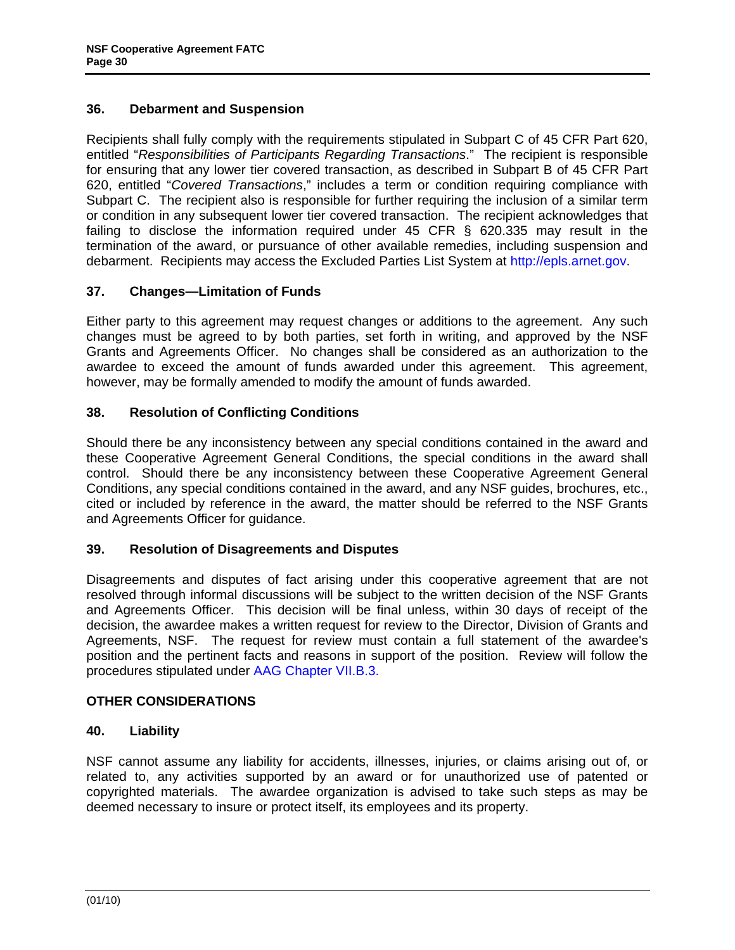## <span id="page-29-0"></span>**36. Debarment and Suspension**

Recipients shall fully comply with the requirements stipulated in Subpart C of 45 CFR Part 620, entitled "*Responsibilities of Participants Regarding Transactions*." The recipient is responsible for ensuring that any lower tier covered transaction, as described in Subpart B of 45 CFR Part 620, entitled "*Covered Transactions*," includes a term or condition requiring compliance with Subpart C. The recipient also is responsible for further requiring the inclusion of a similar term or condition in any subsequent lower tier covered transaction. The recipient acknowledges that failing to disclose the information required under 45 CFR § 620.335 may result in the termination of the award, or pursuance of other available remedies, including suspension and debarment. Recipients may access the Excluded Parties List System at http://epls.arnet.gov.

## **37. Changes—Limitation of Funds**

Either party to this agreement may request changes or additions to the agreement. Any such changes must be agreed to by both parties, set forth in writing, and approved by the NSF Grants and Agreements Officer. No changes shall be considered as an authorization to the awardee to exceed the amount of funds awarded under this agreement. This agreement, however, may be formally amended to modify the amount of funds awarded.

## **38. Resolution of Conflicting Conditions**

Should there be any inconsistency between any special conditions contained in the award and these Cooperative Agreement General Conditions, the special conditions in the award shall control. Should there be any inconsistency between these Cooperative Agreement General Conditions, any special conditions contained in the award, and any NSF guides, brochures, etc., cited or included by reference in the award, the matter should be referred to the NSF Grants and Agreements Officer for guidance.

### **39. Resolution of Disagreements and Disputes**

Disagreements and disputes of fact arising under this cooperative agreement that are not resolved through informal discussions will be subject to the written decision of the NSF Grants and Agreements Officer. This decision will be final unless, within 30 days of receipt of the decision, the awardee makes a written request for review to the Director, Division of Grants and Agreements, NSF. The request for review must contain a full statement of the awardee's position and the pertinent facts and reasons in support of the position. Review will follow the procedures stipulated under [AAG Chapter VII.B.3](http://www.nsf.gov/pubs/policydocs/pappguide/nsf10_1/aag_7.jsp#VIIB3).

### **OTHER CONSIDERATIONS**

### **40. Liability**

NSF cannot assume any liability for accidents, illnesses, injuries, or claims arising out of, or related to, any activities supported by an award or for unauthorized use of patented or copyrighted materials. The awardee organization is advised to take such steps as may be deemed necessary to insure or protect itself, its employees and its property.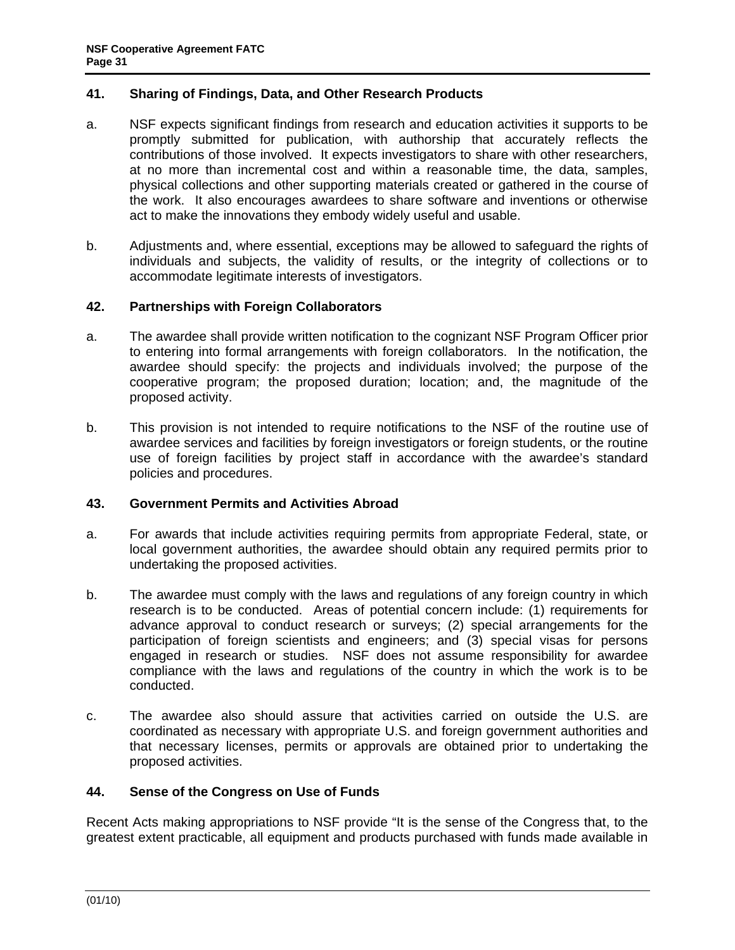## <span id="page-30-0"></span>**41. Sharing of Findings, Data, and Other Research Products**

- a. NSF expects significant findings from research and education activities it supports to be promptly submitted for publication, with authorship that accurately reflects the contributions of those involved. It expects investigators to share with other researchers, at no more than incremental cost and within a reasonable time, the data, samples, physical collections and other supporting materials created or gathered in the course of the work. It also encourages awardees to share software and inventions or otherwise act to make the innovations they embody widely useful and usable.
- b. Adjustments and, where essential, exceptions may be allowed to safeguard the rights of individuals and subjects, the validity of results, or the integrity of collections or to accommodate legitimate interests of investigators.

### **42. Partnerships with Foreign Collaborators**

- a. The awardee shall provide written notification to the cognizant NSF Program Officer prior to entering into formal arrangements with foreign collaborators. In the notification, the awardee should specify: the projects and individuals involved; the purpose of the cooperative program; the proposed duration; location; and, the magnitude of the proposed activity.
- b. This provision is not intended to require notifications to the NSF of the routine use of awardee services and facilities by foreign investigators or foreign students, or the routine use of foreign facilities by project staff in accordance with the awardee's standard policies and procedures.

### **43. Government Permits and Activities Abroad**

- a. For awards that include activities requiring permits from appropriate Federal, state, or local government authorities, the awardee should obtain any required permits prior to undertaking the proposed activities.
- b. The awardee must comply with the laws and regulations of any foreign country in which research is to be conducted. Areas of potential concern include: (1) requirements for advance approval to conduct research or surveys; (2) special arrangements for the participation of foreign scientists and engineers; and (3) special visas for persons engaged in research or studies. NSF does not assume responsibility for awardee compliance with the laws and regulations of the country in which the work is to be conducted.
- c. The awardee also should assure that activities carried on outside the U.S. are coordinated as necessary with appropriate U.S. and foreign government authorities and that necessary licenses, permits or approvals are obtained prior to undertaking the proposed activities.

### **44. Sense of the Congress on Use of Funds**

Recent Acts making appropriations to NSF provide "It is the sense of the Congress that, to the greatest extent practicable, all equipment and products purchased with funds made available in